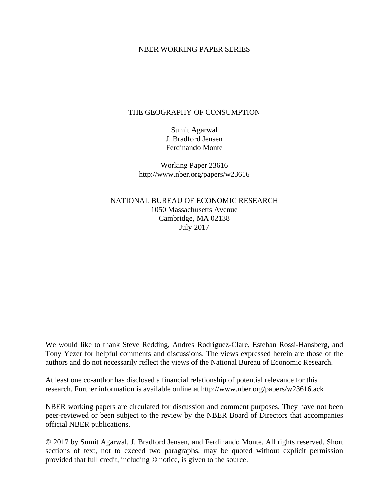## NBER WORKING PAPER SERIES

## THE GEOGRAPHY OF CONSUMPTION

Sumit Agarwal J. Bradford Jensen Ferdinando Monte

Working Paper 23616 http://www.nber.org/papers/w23616

NATIONAL BUREAU OF ECONOMIC RESEARCH 1050 Massachusetts Avenue Cambridge, MA 02138 July 2017

We would like to thank Steve Redding, Andres Rodriguez-Clare, Esteban Rossi-Hansberg, and Tony Yezer for helpful comments and discussions. The views expressed herein are those of the authors and do not necessarily reflect the views of the National Bureau of Economic Research.

At least one co-author has disclosed a financial relationship of potential relevance for this research. Further information is available online at http://www.nber.org/papers/w23616.ack

NBER working papers are circulated for discussion and comment purposes. They have not been peer-reviewed or been subject to the review by the NBER Board of Directors that accompanies official NBER publications.

© 2017 by Sumit Agarwal, J. Bradford Jensen, and Ferdinando Monte. All rights reserved. Short sections of text, not to exceed two paragraphs, may be quoted without explicit permission provided that full credit, including © notice, is given to the source.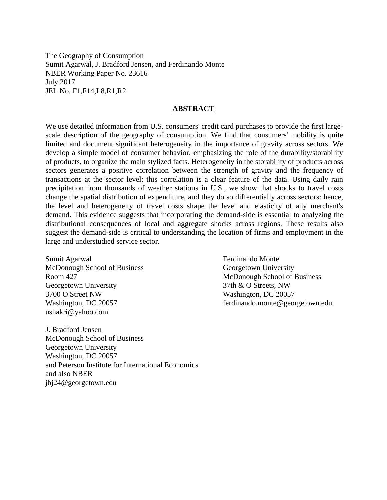The Geography of Consumption Sumit Agarwal, J. Bradford Jensen, and Ferdinando Monte NBER Working Paper No. 23616 July 2017 JEL No. F1,F14,L8,R1,R2

### **ABSTRACT**

We use detailed information from U.S. consumers' credit card purchases to provide the first largescale description of the geography of consumption. We find that consumers' mobility is quite limited and document significant heterogeneity in the importance of gravity across sectors. We develop a simple model of consumer behavior, emphasizing the role of the durability/storability of products, to organize the main stylized facts. Heterogeneity in the storability of products across sectors generates a positive correlation between the strength of gravity and the frequency of transactions at the sector level; this correlation is a clear feature of the data. Using daily rain precipitation from thousands of weather stations in U.S., we show that shocks to travel costs change the spatial distribution of expenditure, and they do so differentially across sectors: hence, the level and heterogeneity of travel costs shape the level and elasticity of any merchant's demand. This evidence suggests that incorporating the demand-side is essential to analyzing the distributional consequences of local and aggregate shocks across regions. These results also suggest the demand-side is critical to understanding the location of firms and employment in the large and understudied service sector.

Sumit Agarwal McDonough School of Business Room 427 Georgetown University 3700 O Street NW Washington, DC 20057 ushakri@yahoo.com

J. Bradford Jensen McDonough School of Business Georgetown University Washington, DC 20057 and Peterson Institute for International Economics and also NBER jbj24@georgetown.edu

Ferdinando Monte Georgetown University McDonough School of Business 37th & O Streets, NW Washington, DC 20057 ferdinando.monte@georgetown.edu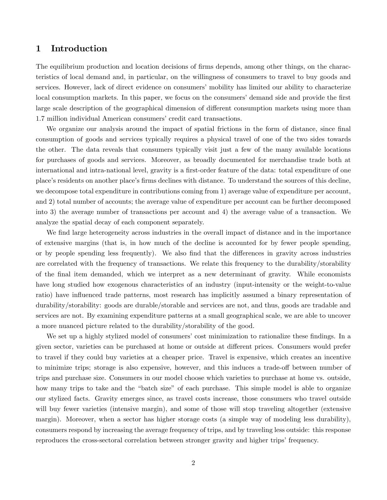## 1 Introduction

The equilibrium production and location decisions of firms depends, among other things, on the characteristics of local demand and, in particular, on the willingness of consumers to travel to buy goods and services. However, lack of direct evidence on consumers' mobility has limited our ability to characterize local consumption markets. In this paper, we focus on the consumers' demand side and provide the first large scale description of the geographical dimension of different consumption markets using more than 1.7 million individual American consumers' credit card transactions.

We organize our analysis around the impact of spatial frictions in the form of distance, since final consumption of goods and services typically requires a physical travel of one of the two sides towards the other. The data reveals that consumers typically visit just a few of the many available locations for purchases of goods and services. Moreover, as broadly documented for merchandise trade both at international and intra-national level, gravity is a first-order feature of the data: total expenditure of one place's residents on another place's firms declines with distance. To understand the sources of this decline, we decompose total expenditure in contributions coming from 1) average value of expenditure per account, and 2) total number of accounts; the average value of expenditure per account can be further decomposed into 3) the average number of transactions per account and 4) the average value of a transaction. We analyze the spatial decay of each component separately.

We find large heterogeneity across industries in the overall impact of distance and in the importance of extensive margins (that is, in how much of the decline is accounted for by fewer people spending, or by people spending less frequently). We also find that the differences in gravity across industries are correlated with the frequency of transactions. We relate this frequency to the durability/storability of the Önal item demanded, which we interpret as a new determinant of gravity. While economists have long studied how exogenous characteristics of an industry (input-intensity or the weight-to-value ratio) have influenced trade patterns, most research has implicitly assumed a binary representation of durability/storability: goods are durable/storable and services are not, and thus, goods are tradable and services are not. By examining expenditure patterns at a small geographical scale, we are able to uncover a more nuanced picture related to the durability/storability of the good.

We set up a highly stylized model of consumers' cost minimization to rationalize these findings. In a given sector, varieties can be purchased at home or outside at different prices. Consumers would prefer to travel if they could buy varieties at a cheaper price. Travel is expensive, which creates an incentive to minimize trips; storage is also expensive, however, and this induces a trade-off between number of trips and purchase size. Consumers in our model choose which varieties to purchase at home vs. outside, how many trips to take and the "batch size" of each purchase. This simple model is able to organize our stylized facts. Gravity emerges since, as travel costs increase, those consumers who travel outside will buy fewer varieties (intensive margin), and some of those will stop traveling altogether (extensive margin). Moreover, when a sector has higher storage costs (a simple way of modeling less durability), consumers respond by increasing the average frequency of trips, and by traveling less outside: this response reproduces the cross-sectoral correlation between stronger gravity and higher trips' frequency.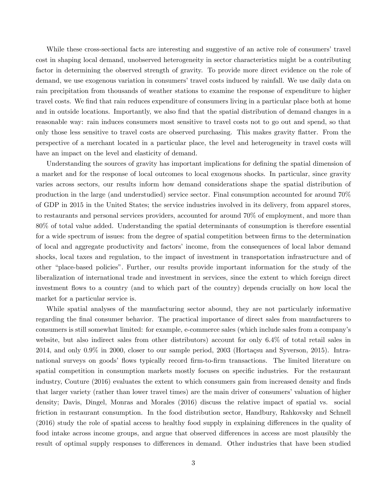While these cross-sectional facts are interesting and suggestive of an active role of consumers' travel cost in shaping local demand, unobserved heterogeneity in sector characteristics might be a contributing factor in determining the observed strength of gravity. To provide more direct evidence on the role of demand, we use exogenous variation in consumers' travel costs induced by rainfall. We use daily data on rain precipitation from thousands of weather stations to examine the response of expenditure to higher travel costs. We find that rain reduces expenditure of consumers living in a particular place both at home and in outside locations. Importantly, we also find that the spatial distribution of demand changes in a reasonable way: rain induces consumers most sensitive to travel costs not to go out and spend, so that only those less sensitive to travel costs are observed purchasing. This makes gravity áatter. From the perspective of a merchant located in a particular place, the level and heterogeneity in travel costs will have an impact on the level and elasticity of demand.

Understanding the sources of gravity has important implications for defining the spatial dimension of a market and for the response of local outcomes to local exogenous shocks. In particular, since gravity varies across sectors, our results inform how demand considerations shape the spatial distribution of production in the large (and understudied) service sector. Final consumption accounted for around 70% of GDP in 2015 in the United States; the service industries involved in its delivery, from apparel stores, to restaurants and personal services providers, accounted for around 70% of employment, and more than 80% of total value added. Understanding the spatial determinants of consumption is therefore essential for a wide spectrum of issues: from the degree of spatial competition between firms to the determination of local and aggregate productivity and factors' income, from the consequences of local labor demand shocks, local taxes and regulation, to the impact of investment in transportation infrastructure and of other "place-based policies". Further, our results provide important information for the study of the liberalization of international trade and investment in services, since the extent to which foreign direct investment flows to a country (and to which part of the country) depends crucially on how local the market for a particular service is.

While spatial analyses of the manufacturing sector abound, they are not particularly informative regarding the final consumer behavior. The practical importance of direct sales from manufacturers to consumers is still somewhat limited: for example, e-commerce sales (which include sales from a companyís website, but also indirect sales from other distributors) account for only 6.4% of total retail sales in  $2014$ , and only  $0.9\%$  in  $2000$ , closer to our sample period,  $2003$  (Hortaçsu and Syverson, 2015). Intranational surveys on goods' flows typically record firm-to-firm transactions. The limited literature on spatial competition in consumption markets mostly focuses on specific industries. For the restaurant industry, Couture (2016) evaluates the extent to which consumers gain from increased density and finds that larger variety (rather than lower travel times) are the main driver of consumers' valuation of higher density; Davis, Dingel, Monras and Morales (2016) discuss the relative impact of spatial vs. social friction in restaurant consumption. In the food distribution sector, Handbury, Rahkovsky and Schnell (2016) study the role of spatial access to healthy food supply in explaining differences in the quality of food intake across income groups, and argue that observed differences in access are most plausibly the result of optimal supply responses to differences in demand. Other industries that have been studied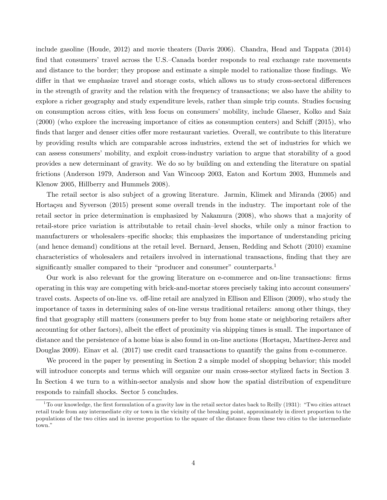include gasoline (Houde, 2012) and movie theaters (Davis 2006). Chandra, Head and Tappata (2014) find that consumers' travel across the U.S.–Canada border responds to real exchange rate movements and distance to the border; they propose and estimate a simple model to rationalize those findings. We differ in that we emphasize travel and storage costs, which allows us to study cross-sectoral differences in the strength of gravity and the relation with the frequency of transactions; we also have the ability to explore a richer geography and study expenditure levels, rather than simple trip counts. Studies focusing on consumption across cities, with less focus on consumers' mobility, include Glaeser, Kolko and Saiz  $(2000)$  (who explore the increasing importance of cities as consumption centers) and Schiff  $(2015)$ , who finds that larger and denser cities offer more restaurant varieties. Overall, we contribute to this literature by providing results which are comparable across industries, extend the set of industries for which we can assess consumers' mobility, and exploit cross-industry variation to argue that storability of a good provides a new determinant of gravity. We do so by building on and extending the literature on spatial frictions (Anderson 1979, Anderson and Van Wincoop 2003, Eaton and Kortum 2003, Hummels and Klenow 2005, Hillberry and Hummels 2008).

The retail sector is also subject of a growing literature. Jarmin, Klimek and Miranda (2005) and Hortaçsu and Syverson (2015) present some overall trends in the industry. The important role of the retail sector in price determination is emphasized by Nakamura (2008), who shows that a majority of retail-store price variation is attributable to retail chain-level shocks, while only a minor fraction to manufacturers or wholesalers–specific shocks; this emphasizes the importance of understanding pricing (and hence demand) conditions at the retail level. Bernard, Jensen, Redding and Schott (2010) examine characteristics of wholesalers and retailers involved in international transactions, Önding that they are significantly smaller compared to their "producer and consumer" counterparts.<sup>1</sup>

Our work is also relevant for the growing literature on e-commerce and on-line transactions: Örms operating in this way are competing with brick-and-mortar stores precisely taking into account consumersí travel costs. Aspects of on-line vs. off-line retail are analyzed in Ellison and Ellison (2009), who study the importance of taxes in determining sales of on-line versus traditional retailers: among other things, they find that geography still matters (consumers prefer to buy from home state or neighboring retailers after accounting for other factors), albeit the effect of proximity via shipping times is small. The importance of distance and the persistence of a home bias is also found in on-line auctions (Hortaçsu, Martínez-Jerez and Douglas 2009). Einav et al. (2017) use credit card transactions to quantify the gains from e-commerce.

We proceed in the paper by presenting in Section [2](#page-5-0) a simple model of shopping behavior; this model will introduce concepts and terms which will organize our main cross-sector stylized facts in Section [3.](#page-11-0) In Section [4](#page-19-0) we turn to a within-sector analysis and show how the spatial distribution of expenditure responds to rainfall shocks. Sector [5](#page-24-0) concludes.

 $1^1$ To our knowledge, the first formulation of a gravity law in the retail sector dates back to Reilly (1931): "Two cities attract retail trade from any intermediate city or town in the vicinity of the breaking point, approximately in direct proportion to the populations of the two cities and in inverse proportion to the square of the distance from these two cities to the intermediate town."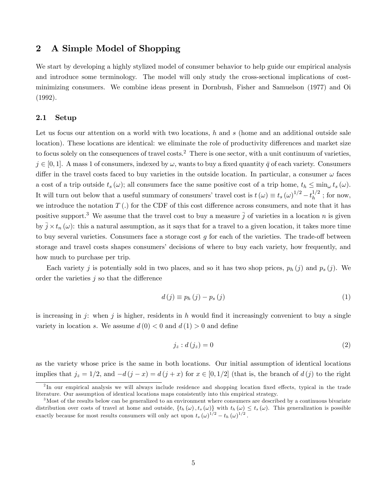# <span id="page-5-0"></span>2 A Simple Model of Shopping

We start by developing a highly stylized model of consumer behavior to help guide our empirical analysis and introduce some terminology. The model will only study the cross-sectional implications of costminimizing consumers. We combine ideas present in Dornbush, Fisher and Samuelson (1977) and Oi (1992).

## 2.1 Setup

Let us focus our attention on a world with two locations, h and s (home and an additional outside sale location). These locations are identical: we eliminate the role of productivity differences and market size to focus solely on the consequences of travel costs.<sup>2</sup> There is one sector, with a unit continuum of varieties,  $j \in [0, 1]$ . A mass 1 of consumers, indexed by  $\omega$ , wants to buy a fixed quantity  $\bar{q}$  of each variety. Consumers differ in the travel costs faced to buy varieties in the outside location. In particular, a consumer  $\omega$  faces a cost of a trip outside  $t_s(\omega)$ ; all consumers face the same positive cost of a trip home,  $t_h \le \min_{\omega} t_s(\omega)$ . It will turn out below that a useful summary of consumers' travel cost is  $t(\omega) \equiv t_s(\omega)^{1/2} - t_h^{1/2}$  $h^{1/2}$ ; for now, we introduce the notation  $T(.)$  for the CDF of this cost difference across consumers, and note that it has positive support.<sup>3</sup> We assume that the travel cost to buy a measure  $\bar{j}$  of varieties in a location n is given by  $\bar{j} \times t_n(\omega)$ : this a natural assumption, as it says that for a travel to a given location, it takes more time to buy several varieties. Consumers face a storage cost  $g$  for each of the varieties. The trade-off between storage and travel costs shapes consumers' decisions of where to buy each variety, how frequently, and how much to purchase per trip.

Each variety j is potentially sold in two places, and so it has two shop prices,  $p_h(j)$  and  $p_s(j)$ . We order the varieties  $j$  so that the difference

$$
d(j) \equiv p_h(j) - p_s(j) \tag{1}
$$

is increasing in j: when j is higher, residents in h would find it increasingly convenient to buy a single variety in location s. We assume  $d(0) < 0$  and  $d(1) > 0$  and define

$$
j_z: d(j_z) = 0 \tag{2}
$$

as the variety whose price is the same in both locations. Our initial assumption of identical locations implies that  $j_z = 1/2$ , and  $-d(j - x) = d(j + x)$  for  $x \in [0, 1/2]$  (that is, the branch of  $d(j)$  to the right

<sup>&</sup>lt;sup>2</sup>In our empirical analysis we will always include residence and shopping location fixed effects, typical in the trade literature. Our assumption of identical locations maps consistently into this empirical strategy.

<sup>&</sup>lt;sup>3</sup>Most of the results below can be generalized to an environment where consumers are described by a continuous bivariate distribution over costs of travel at home and outside,  $\{t_h(\omega), t_s(\omega)\}\$  with  $t_h(\omega) \leq t_s(\omega)$ . This generalization is possible exactly because for most results consumers will only act upon  $t_s (\omega)^{1/2} - t_h (\omega)^{1/2}$ .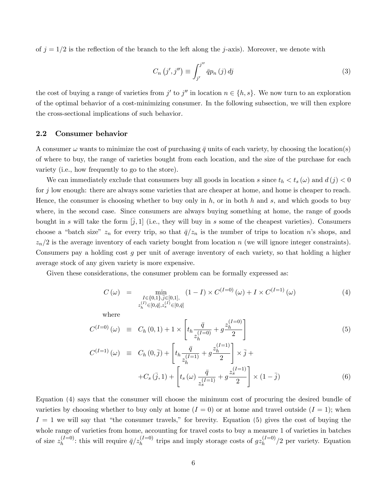of  $j = 1/2$  is the reflection of the branch to the left along the j-axis). Moreover, we denote with

$$
C_n(j',j'') \equiv \int_{j'}^{j''} \bar{q}p_n(j) \, dj \tag{3}
$$

the cost of buying a range of varieties from  $j'$  to  $j''$  in location  $n \in \{h, s\}$ . We now turn to an exploration of the optimal behavior of a cost-minimizing consumer. In the following subsection, we will then explore the cross-sectional implications of such behavior.

#### 2.2 Consumer behavior

A consumer  $\omega$  wants to minimize the cost of purchasing  $\bar{q}$  units of each variety, by choosing the location(s) of where to buy, the range of varieties bought from each location, and the size of the purchase for each variety (i.e., how frequently to go to the store).

We can immediately exclude that consumers buy all goods in location s since  $t_h < t_s(\omega)$  and  $d(j) < 0$ for j low enough: there are always some varieties that are cheaper at home, and home is cheaper to reach. Hence, the consumer is choosing whether to buy only in  $h$ , or in both  $h$  and  $s$ , and which goods to buy where, in the second case. Since consumers are always buying something at home, the range of goods bought in s will take the form  $[\bar{j}, 1]$  (i.e., they will buy in s some of the cheapest varieties). Consumers choose a "batch size"  $z_n$  for every trip, so that  $\bar{q}/z_n$  is the number of trips to location n's shops, and  $z_n/2$  is the average inventory of each variety bought from location n (we will ignore integer constraints). Consumers pay a holding cost g per unit of average inventory of each variety, so that holding a higher average stock of any given variety is more expensive.

Given these considerations, the consumer problem can be formally expressed as:

<span id="page-6-0"></span>
$$
C(\omega) = \min_{\substack{I \in \{0,1\}, \bar{j} \in [0,1], \\ z_h^{(I)} \in [0,\bar{q}], z_s^{(I)} \in [0,\bar{q}]} } (1-I) \times C^{(I=0)}(\omega) + I \times C^{(I=1)}(\omega)
$$
(4)

where

$$
C^{(I=0)}(\omega) \equiv C_h(0,1) + 1 \times \left[ t_h \frac{\bar{q}}{z_h^{(I=0)}} + g \frac{z_h^{(I=0)}}{2} \right]
$$
 (5)

$$
C^{(I=1)}(\omega) \equiv C_h(0,\bar{j}) + \left[ t_h \frac{\bar{q}}{z_h^{(I=1)}} + g \frac{z_h^{(I=1)}}{2} \right] \times \bar{j} +
$$
  
+
$$
C_s(\bar{j},1) + \left[ t_s(\omega) \frac{\bar{q}}{z_s^{(I=1)}} + g \frac{z_s^{(I=1)}}{2} \right] \times (1-\bar{j})
$$
(6)

Equation [\(4\)](#page-6-0) says that the consumer will choose the minimum cost of procuring the desired bundle of varieties by choosing whether to buy only at home  $(I = 0)$  or at home and travel outside  $(I = 1)$ ; when  $I = 1$  we will say that "the consumer travels," for brevity. Equation [\(5\)](#page-6-0) gives the cost of buying the whole range of varieties from home, accounting for travel costs to buy a measure 1 of varieties in batches of size  $z_h^{(I=0)}$  $\eta_h^{(I=0)}$ : this will require  $\bar{q}/z_h^{(I=0)}$  $h_h^{(I=0)}$  trips and imply storage costs of  $gz_h^{(I=0)}$  $\frac{h^{(1-0)}}{h}$  2 per variety. Equation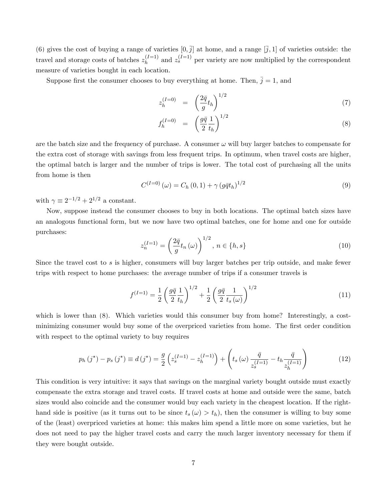[\(6\)](#page-6-0) gives the cost of buying a range of varieties  $[0, \overline{j}]$  at home, and a range  $[\overline{j}, 1]$  of varieties outside: the travel and storage costs of batches  $z<sub>h</sub><sup>(I=1)</sup>$  $\binom{I=1}{h}$  and  $z_s^{(I=1)}$  per variety are now multiplied by the correspondent measure of varieties bought in each location.

Suppose first the consumer chooses to buy everything at home. Then,  $\bar{j} = 1$ , and

$$
z_h^{(I=0)} = \left(\frac{2\bar{q}}{g}t_h\right)^{1/2} \tag{7}
$$

<span id="page-7-0"></span>
$$
f_h^{(I=0)} = \left(\frac{g\overline{q}}{2}\frac{1}{t_h}\right)^{1/2} \tag{8}
$$

are the batch size and the frequency of purchase. A consumer  $\omega$  will buy larger batches to compensate for the extra cost of storage with savings from less frequent trips. In optimum, when travel costs are higher, the optimal batch is larger and the number of trips is lower. The total cost of purchasing all the units from home is then

$$
C^{(I=0)}(\omega) = C_h(0,1) + \gamma (g\bar{q}t_h)^{1/2}
$$
\n(9)

with  $\gamma \equiv 2^{-1/2} + 2^{1/2}$  a constant.

Now, suppose instead the consumer chooses to buy in both locations. The optimal batch sizes have an analogous functional form, but we now have two optimal batches, one for home and one for outside purchases:

$$
z_n^{(I=1)} = \left(\frac{2\bar{q}}{g}t_n\left(\omega\right)\right)^{1/2}, \, n \in \{h, s\} \tag{10}
$$

Since the travel cost to s is higher, consumers will buy larger batches per trip outside, and make fewer trips with respect to home purchases: the average number of trips if a consumer travels is

<span id="page-7-2"></span>
$$
f^{(I=1)} = \frac{1}{2} \left( \frac{g\bar{q}}{2} \frac{1}{t_h} \right)^{1/2} + \frac{1}{2} \left( \frac{g\bar{q}}{2} \frac{1}{t_s(\omega)} \right)^{1/2} \tag{11}
$$

which is lower than  $(8)$ . Which varieties would this consumer buy from home? Interestingly, a costminimizing consumer would buy some of the overpriced varieties from home. The first order condition with respect to the optimal variety to buy requires

<span id="page-7-1"></span>
$$
p_h(j^*) - p_s(j^*) \equiv d(j^*) = \frac{g}{2} \left( z_s^{(I=1)} - z_h^{(I=1)} \right) + \left( t_s \left( \omega \right) \frac{\bar{q}}{z_s^{(I=1)}} - t_h \frac{\bar{q}}{z_h^{(I=1)}} \right)
$$
(12)

This condition is very intuitive: it says that savings on the marginal variety bought outside must exactly compensate the extra storage and travel costs. If travel costs at home and outside were the same, batch sizes would also coincide and the consumer would buy each variety in the cheapest location. If the righthand side is positive (as it turns out to be since  $t_s(\omega) > t_h$ ), then the consumer is willing to buy some of the (least) overpriced varieties at home: this makes him spend a little more on some varieties, but he does not need to pay the higher travel costs and carry the much larger inventory necessary for them if they were bought outside.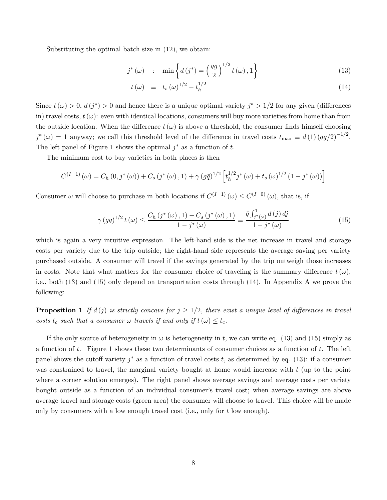Substituting the optimal batch size in [\(12\)](#page-7-1), we obtain:

$$
j^*(\omega) \quad : \quad \min\left\{d\left(j^*\right) = \left(\frac{\bar{q}g}{2}\right)^{1/2}t(\omega), 1\right\} \tag{13}
$$

<span id="page-8-0"></span>
$$
t(\omega) \equiv t_s(\omega)^{1/2} - t_h^{1/2} \tag{14}
$$

Since  $t(\omega) > 0$ ,  $d(j^*) > 0$  and hence there is a unique optimal variety  $j^* > 1/2$  for any given (differences in) travel costs,  $t(\omega)$ : even with identical locations, consumers will buy more varieties from home than from the outside location. When the difference  $t(\omega)$  is above a threshold, the consumer finds himself choosing  $j^*(\omega) = 1$  anyway; we call this threshold level of the difference in travel costs  $t_{\text{max}} \equiv d(1)(\bar{q}g/2)^{-1/2}$ . The left panel of Figure [1](#page-9-0) shows the optimal  $j^*$  as a function of t.

The minimum cost to buy varieties in both places is then

$$
C^{(I=1)}(\omega) = C_h(0, j^*(\omega)) + C_s(j^*(\omega), 1) + \gamma (g\bar{q})^{1/2} \left[ t_h^{1/2} j^*(\omega) + t_s(\omega)^{1/2} (1 - j^*(\omega)) \right]
$$

Consumer  $\omega$  will choose to purchase in both locations if  $C^{(I=1)}(\omega) \le C^{(I=0)}(\omega)$ , that is, if

<span id="page-8-1"></span>
$$
\gamma (g\bar{q})^{1/2} t(\omega) \le \frac{C_h (j^*(\omega), 1) - C_s (j^*(\omega), 1)}{1 - j^*(\omega)} \equiv \frac{\bar{q} \int_{j^*(\omega)}^1 d(j) \, dj}{1 - j^*(\omega)} \tag{15}
$$

which is again a very intuitive expression. The left-hand side is the net increase in travel and storage costs per variety due to the trip outside; the right-hand side represents the average saving per variety purchased outside. A consumer will travel if the savings generated by the trip outweigh those increases in costs. Note that what matters for the consumer choice of traveling is the summary difference  $t(\omega)$ , i.e., both [\(13\)](#page-8-0) and [\(15\)](#page-8-1) only depend on transportation costs through [\(14\)](#page-8-0). In Appendix [A](#page-28-0) we prove the following:

<span id="page-8-2"></span>**Proposition 1** If  $d(j)$  is strictly concave for  $j \geq 1/2$ , there exist a unique level of differences in travel costs  $t_c$  such that a consumer  $\omega$  travels if and only if  $t(\omega) \leq t_c$ .

If the only source of heterogeneity in  $\omega$  is heterogeneity in t, we can write eq. [\(13\)](#page-8-0) and [\(15\)](#page-8-1) simply as a function of t. Figure [1](#page-9-0) shows these two determinants of consumer choices as a function of t. The left panel shows the cutoff variety  $j^*$  as a function of travel costs t, as determined by eq. [\(13\)](#page-8-0): if a consumer was constrained to travel, the marginal variety bought at home would increase with t (up to the point where a corner solution emerges). The right panel shows average savings and average costs per variety bought outside as a function of an individual consumerís travel cost; when average savings are above average travel and storage costs (green area) the consumer will choose to travel. This choice will be made only by consumers with a low enough travel cost (i.e., only for t low enough).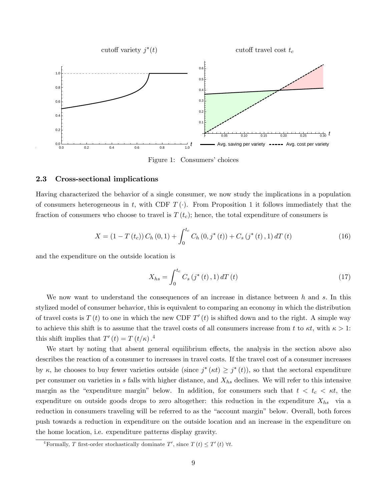

<span id="page-9-0"></span>Figure 1: Consumers' choices

#### 2.3 Cross-sectional implications

Having characterized the behavior of a single consumer, we now study the implications in a population of consumers heterogeneous in t, with CDF  $T(\cdot)$ . From Proposition [1](#page-8-2) it follows immediately that the fraction of consumers who choose to travel is  $T(t_c)$ ; hence, the total expenditure of consumers is

$$
X = (1 - T(t_c)) C_h(0, 1) + \int_0^{t_c} C_h(0, j^*(t)) + C_s(j^*(t), 1) dT(t)
$$
\n(16)

and the expenditure on the outside location is

$$
X_{hs} = \int_0^{t_c} C_s \left( j^*(t) \, , 1 \right) dT \left( t \right) \tag{17}
$$

We now want to understand the consequences of an increase in distance between  $h$  and  $s$ . In this stylized model of consumer behavior, this is equivalent to comparing an economy in which the distribution of travel costs is  $T(t)$  to one in which the new CDF  $T'(t)$  is shifted down and to the right. A simple way to achieve this shift is to assume that the travel costs of all consumers increase from t to  $\kappa t$ , with  $\kappa > 1$ : this shift implies that  $T'(t) = T(t/\kappa)$ .<sup>4</sup>

We start by noting that absent general equilibrium effects, the analysis in the section above also describes the reaction of a consumer to increases in travel costs. If the travel cost of a consumer increases by  $\kappa$ , he chooses to buy fewer varieties outside (since  $j^*(\kappa t) \geq j^*(t)$ ), so that the sectoral expenditure per consumer on varieties in s falls with higher distance, and  $X_{hs}$  declines. We will refer to this intensive margin as the "expenditure margin" below. In addition, for consumers such that  $t < t_c < \kappa t$ , the expenditure on outside goods drops to zero altogether: this reduction in the expenditure  $X_{hs}$  via a reduction in consumers traveling will be referred to as the "account margin" below. Overall, both forces push towards a reduction in expenditure on the outside location and an increase in the expenditure on the home location, i.e. expenditure patterns display gravity.

<sup>&</sup>lt;sup>4</sup>Formally, *T* first-order stochastically dominate  $T'$ , since  $T(t) \leq T'(t) \forall t$ .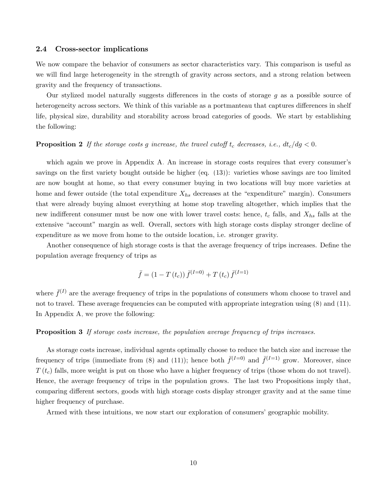#### 2.4 Cross-sector implications

We now compare the behavior of consumers as sector characteristics vary. This comparison is useful as we will find large heterogeneity in the strength of gravity across sectors, and a strong relation between gravity and the frequency of transactions.

Our stylized model naturally suggests differences in the costs of storage  $g$  as a possible source of heterogeneity across sectors. We think of this variable as a portmanteau that captures differences in shelf life, physical size, durability and storability across broad categories of goods. We start by establishing the following:

#### <span id="page-10-0"></span>**Proposition 2** If the storage costs g increase, the travel cutoff  $t_c$  decreases, i.e.,  $dt_c/dg < 0$ .

which again we prove in Appendix [A.](#page-28-0) An increase in storage costs requires that every consumer's savings on the first variety bought outside be higher (eq.  $(13)$ ): varieties whose savings are too limited are now bought at home, so that every consumer buying in two locations will buy more varieties at home and fewer outside (the total expenditure  $X_{hs}$  decreases at the "expenditure" margin). Consumers that were already buying almost everything at home stop traveling altogether, which implies that the new indifferent consumer must be now one with lower travel costs: hence,  $t_c$  falls, and  $X_{hs}$  falls at the extensive "account" margin as well. Overall, sectors with high storage costs display stronger decline of expenditure as we move from home to the outside location, i.e. stronger gravity.

Another consequence of high storage costs is that the average frequency of trips increases. Define the population average frequency of trips as

$$
\bar{f} = (1 - T(t_c)) \,\bar{f}^{(I=0)} + T(t_c) \,\bar{f}^{(I=1)}
$$

where  $\bar{f}^{(I)}$  are the average frequency of trips in the populations of consumers whom choose to travel and not to travel. These average frequencies can be computed with appropriate integration using [\(8\)](#page-7-0) and [\(11\)](#page-7-2). In Appendix [A,](#page-28-0) we prove the following:

#### <span id="page-10-1"></span>**Proposition 3** If storage costs increase, the population average frequency of trips increases.

As storage costs increase, individual agents optimally choose to reduce the batch size and increase the frequency of trips (immediate from [\(8\)](#page-7-0) and [\(11\)](#page-7-2)); hence both  $\bar{f}^{(I=0)}$  and  $\bar{f}^{(I=1)}$  grow. Moreover, since  $T(t_c)$  falls, more weight is put on those who have a higher frequency of trips (those whom do not travel). Hence, the average frequency of trips in the population grows. The last two Propositions imply that, comparing different sectors, goods with high storage costs display stronger gravity and at the same time higher frequency of purchase.

Armed with these intuitions, we now start our exploration of consumers' geographic mobility.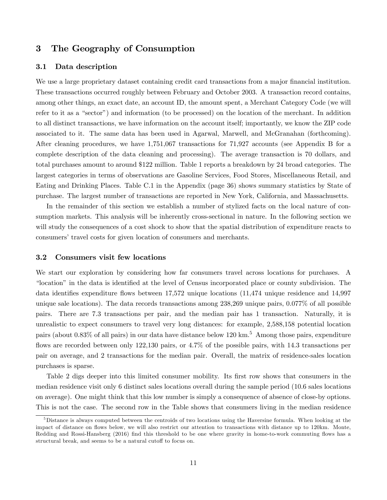# <span id="page-11-0"></span>3 The Geography of Consumption

### 3.1 Data description

We use a large proprietary dataset containing credit card transactions from a major financial institution. These transactions occurred roughly between February and October 2003. A transaction record contains, among other things, an exact date, an account ID, the amount spent, a Merchant Category Code (we will refer to it as a "sector") and information (to be processed) on the location of the merchant. In addition to all distinct transactions, we have information on the account itself; importantly, we know the ZIP code associated to it. The same data has been used in Agarwal, Marwell, and McGranahan (forthcoming). After cleaning procedures, we have 1,751,067 transactions for 71,927 accounts (see Appendix [B](#page-31-0) for a complete description of the data cleaning and processing). The average transaction is 70 dollars, and total purchases amount to around \$122 million. Table [1](#page-12-0) reports a breakdown by 24 broad categories. The largest categories in terms of observations are Gasoline Services, Food Stores, Miscellaneous Retail, and Eating and Drinking Places. Table [C.1](#page-36-0) in the Appendix (page [36\)](#page-36-0) shows summary statistics by State of purchase. The largest number of transactions are reported in New York, California, and Massachusetts.

In the remainder of this section we establish a number of stylized facts on the local nature of consumption markets. This analysis will be inherently cross-sectional in nature. In the following section we will study the consequences of a cost shock to show that the spatial distribution of expenditure reacts to consumers' travel costs for given location of consumers and merchants.

### <span id="page-11-1"></span>3.2 Consumers visit few locations

We start our exploration by considering how far consumers travel across locations for purchases. A "location" in the data is identified at the level of Census incorporated place or county subdivision. The data identifies expenditure flows between 17,572 unique locations (11,474 unique residence and 14,997 unique sale locations). The data records transactions among 238,269 unique pairs, 0.077% of all possible pairs. There are 7.3 transactions per pair, and the median pair has 1 transaction. Naturally, it is unrealistic to expect consumers to travel very long distances: for example, 2,588,158 potential location pairs (about 0.83% of all pairs) in our data have distance below 120 km.<sup>5</sup> Among those pairs, expenditure flows are recorded between only  $122,130$  pairs, or  $4.7\%$  of the possible pairs, with 14.3 transactions per pair on average, and 2 transactions for the median pair. Overall, the matrix of residence-sales location purchases is sparse.

Table [2](#page-13-0) digs deeper into this limited consumer mobility. Its first row shows that consumers in the median residence visit only 6 distinct sales locations overall during the sample period (10.6 sales locations on average). One might think that this low number is simply a consequence of absence of close-by options. This is not the case. The second row in the Table shows that consumers living in the median residence

 $5$ Distance is always computed between the centroids of two locations using the Haversine formula. When looking at the impact of distance on flows below, we will also restrict our attention to transactions with distance up to 120km. Monte, Redding and Rossi-Hansberg (2016) find this threshold to be one where gravity in home-to-work commuting flows has a structural break, and seems to be a natural cutoff to focus on.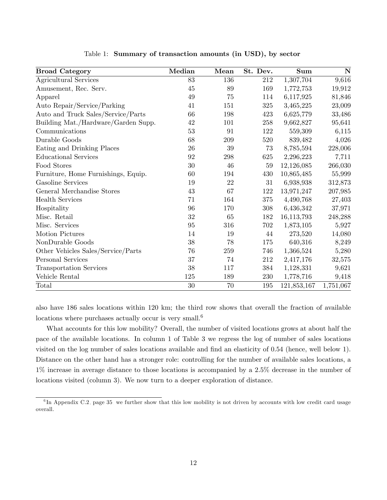| <b>Broad Category</b>               | Median | Mean   | St. Dev. | <b>Sum</b>  | N         |
|-------------------------------------|--------|--------|----------|-------------|-----------|
| Agricultural Services               | 83     | 136    | 212      | 1,307,704   | 9,616     |
| Amusement, Rec. Serv.               | 45     | $89\,$ | 169      | 1,772,753   | 19,912    |
| Apparel                             | 49     | 75     | 114      | 6,117,925   | 81,846    |
| Auto Repair/Service/Parking         | 41     | 151    | 325      | 3,465,225   | 23,009    |
| Auto and Truck Sales/Service/Parts  | 66     | 198    | 423      | 6,625,779   | 33,486    |
| Building Mat./Hardware/Garden Supp. | 42     | 101    | 258      | 9,662,827   | 95,641    |
| Communications                      | 53     | 91     | 122      | 559,309     | 6,115     |
| Durable Goods                       | 68     | 209    | 520      | 839,482     | 4,026     |
| Eating and Drinking Places          | 26     | 39     | 73       | 8,785,594   | 228,006   |
| <b>Educational Services</b>         | 92     | 298    | 625      | 2,296,223   | 7,711     |
| Food Stores                         | 30     | 46     | $59\,$   | 12,126,085  | 266,030   |
| Furniture, Home Furnishings, Equip. | 60     | 194    | 430      | 10,865,485  | 55,999    |
| Gasoline Services                   | 19     | 22     | 31       | 6,938,938   | 312,873   |
| General Merchandise Stores          | 43     | 67     | 122      | 13,971,247  | 207,985   |
| <b>Health Services</b>              | 71     | 164    | 375      | 4,490,768   | 27,403    |
| Hospitality                         | 96     | 170    | 308      | 6,436,342   | 37,971    |
| Misc. Retail                        | 32     | 65     | 182      | 16,113,793  | 248,288   |
| Misc. Services                      | 95     | 316    | 702      | 1,873,105   | 5,927     |
| <b>Motion Pictures</b>              | 14     | 19     | $44\,$   | 273,520     | 14,080    |
| NonDurable Goods                    | 38     | 78     | 175      | 640,316     | 8,249     |
| Other Vehicles Sales/Service/Parts  | 76     | 259    | 746      | 1,366,524   | 5,280     |
| Personal Services                   | 37     | 74     | 212      | 2,417,176   | 32,575    |
| <b>Transportation Services</b>      | 38     | 117    | 384      | 1,128,331   | 9,621     |
| Vehicle Rental                      | 125    | 189    | 230      | 1,778,716   | 9,418     |
| Total                               | $30\,$ | 70     | 195      | 121,853,167 | 1,751,067 |

<span id="page-12-0"></span>Table 1: Summary of transaction amounts (in USD), by sector

also have 186 sales locations within 120 km; the third row shows that overall the fraction of available locations where purchases actually occur is very small.<sup>6</sup>

What accounts for this low mobility? Overall, the number of visited locations grows at about half the pace of the available locations. In column 1 of Table [3](#page-13-1) we regress the log of number of sales locations visited on the log number of sales locations available and find an elasticity of 0.54 (hence, well below 1). Distance on the other hand has a stronger role: controlling for the number of available sales locations, a 1% increase in average distance to those locations is accompanied by a 2.5% decrease in the number of locations visited (column 3). We now turn to a deeper exploration of distance.

 ${}^{6}$ In Appendix [C.2,](#page-11-1) page [35,](#page-11-1) we further show that this low mobility is not driven by accounts with low credit card usage overall.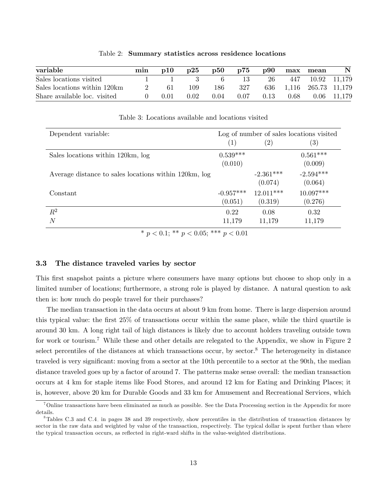| variable                     | min | $\mathbf{p10}$ | p25  | $\mathbf{p50}$ | p75  | $\bf p90$ | max  | mean                    | $\mathbf N$   |
|------------------------------|-----|----------------|------|----------------|------|-----------|------|-------------------------|---------------|
| Sales locations visited      |     |                |      |                | 13   | 26        |      | 447 10.92 11,179        |               |
| Sales locations within 120km |     | -61            | 109  | 186            | -327 |           |      | 636 1,116 265.73 11,179 |               |
| Share available loc. visited |     | 0.01           | 0.02 | 0.04           | 0.07 | 0.13      | 0.68 |                         | $0.06$ 11,179 |

<span id="page-13-0"></span>Table 2: Summary statistics across residence locations

| Dependent variable:                                   |             |                   | Log of number of sales locations visited |
|-------------------------------------------------------|-------------|-------------------|------------------------------------------|
|                                                       | (1)         | $\left( 2\right)$ | $\left( 3\right)$                        |
| Sales locations within 120km, log                     | $0.539***$  |                   | $0.561***$                               |
|                                                       | (0.010)     |                   | (0.009)                                  |
| Average distance to sales locations within 120km, log |             | $-2.361***$       | $-2.594***$                              |
|                                                       |             | (0.074)           | (0.064)                                  |
| Constant                                              | $-0.957***$ | $12.011***$       | $10.097***$                              |
|                                                       | (0.051)     | (0.319)           | (0.276)                                  |
| $R^2$                                                 | 0.22        | 0.08              | 0.32                                     |
| $\overline{N}$                                        | 11,179      | 11,179            | 11,179                                   |
|                                                       |             |                   |                                          |

<span id="page-13-1"></span>Table 3: Locations available and locations visited

\*  $p < 0.1$ ; \*\*  $p < 0.05$ ; \*\*\*  $p < 0.01$ 

#### 3.3 The distance traveled varies by sector

This first snapshot paints a picture where consumers have many options but choose to shop only in a limited number of locations; furthermore, a strong role is played by distance. A natural question to ask then is: how much do people travel for their purchases?

The median transaction in the data occurs at about 9 km from home. There is large dispersion around this typical value: the Örst 25% of transactions occur within the same place, while the third quartile is around 30 km. A long right tail of high distances is likely due to account holders traveling outside town for work or tourism.<sup>7</sup> While these and other details are relegated to the Appendix, we show in Figure [2](#page-14-0) select percentiles of the distances at which transactions occur, by sector.<sup>8</sup> The heterogeneity in distance traveled is very significant: moving from a sector at the 10th percentile to a sector at the 90th, the median distance traveled goes up by a factor of around 7. The patterns make sense overall: the median transaction occurs at 4 km for staple items like Food Stores, and around 12 km for Eating and Drinking Places; it is, however, above 20 km for Durable Goods and 33 km for Amusement and Recreational Services, which

<sup>7</sup>Online transactions have been eliminated as much as possible. See the Data Processing section in the Appendix for more details.

 $8$ Tables [C.3](#page-38-0) and [C.4,](#page-39-0) in pages [38](#page-38-0) and [39](#page-39-0) respectively, show percentiles in the distribution of transaction distances by sector in the raw data and weighted by value of the transaction, respectively. The typical dollar is spent further than where the typical transaction occurs, as reflected in right-ward shifts in the value-weighted distributions.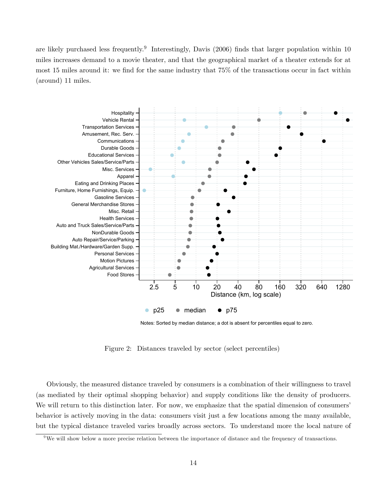are likely purchased less frequently.<sup>9</sup> Interestingly, Davis (2006) finds that larger population within 10 miles increases demand to a movie theater, and that the geographical market of a theater extends for at most 15 miles around it: we find for the same industry that 75% of the transactions occur in fact within (around) 11 miles.



<span id="page-14-0"></span>Notes: Sorted by median distance; a dot is absent for percentiles equal to zero.

Figure 2: Distances traveled by sector (select percentiles)

Obviously, the measured distance traveled by consumers is a combination of their willingness to travel (as mediated by their optimal shopping behavior) and supply conditions like the density of producers. We will return to this distinction later. For now, we emphasize that the spatial dimension of consumers' behavior is actively moving in the data: consumers visit just a few locations among the many available, but the typical distance traveled varies broadly across sectors. To understand more the local nature of

<sup>&</sup>lt;sup>9</sup>We will show below a more precise relation between the importance of distance and the frequency of transactions.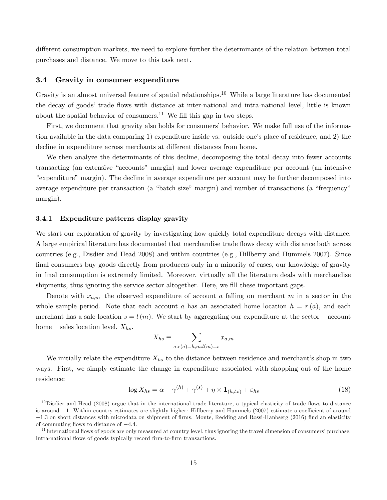different consumption markets, we need to explore further the determinants of the relation between total purchases and distance. We move to this task next.

#### <span id="page-15-1"></span>3.4 Gravity in consumer expenditure

Gravity is an almost universal feature of spatial relationships.<sup>10</sup> While a large literature has documented the decay of goods' trade flows with distance at inter-national and intra-national level, little is known about the spatial behavior of consumers.<sup>11</sup> We fill this gap in two steps.

First, we document that gravity also holds for consumers' behavior. We make full use of the information available in the data comparing 1) expenditure inside vs. outside one's place of residence, and 2) the decline in expenditure across merchants at different distances from home.

We then analyze the determinants of this decline, decomposing the total decay into fewer accounts transacting (an extensive "accounts" margin) and lower average expenditure per account (an intensive ìexpenditureîmargin). The decline in average expenditure per account may be further decomposed into average expenditure per transaction (a "batch size" margin) and number of transactions (a "frequency" margin).

### 3.4.1 Expenditure patterns display gravity

We start our exploration of gravity by investigating how quickly total expenditure decays with distance. A large empirical literature has documented that merchandise trade flows decay with distance both across countries (e.g., Disdier and Head 2008) and within countries (e.g., Hillberry and Hummels 2007). Since final consumers buy goods directly from producers only in a minority of cases, our knowledge of gravity in final consumption is extremely limited. Moreover, virtually all the literature deals with merchandise shipments, thus ignoring the service sector altogether. Here, we fill these important gaps.

Denote with  $x_{a,m}$  the observed expenditure of account a falling on merchant m in a sector in the whole sample period. Note that each account a has an associated home location  $h = r(a)$ , and each merchant has a sale location  $s = l(m)$ . We start by aggregating our expenditure at the sector – account home – sales location level,  $X_{hs}$ .

$$
X_{hs} \equiv \sum_{a:r(a)=h,m:l(m)=s} x_{a,m}
$$

We initially relate the expenditure  $X_{hs}$  to the distance between residence and merchant's shop in two ways. First, we simply estimate the change in expenditure associated with shopping out of the home residence:

<span id="page-15-0"></span>
$$
\log X_{hs} = \alpha + \gamma^{(h)} + \gamma^{(s)} + \eta \times \mathbf{1}_{(h \neq s)} + \varepsilon_{hs} \tag{18}
$$

 $10$ Disdier and Head (2008) argue that in the international trade literature, a typical elasticity of trade flows to distance is around  $-1$ . Within country estimates are slightly higher: Hillberry and Hummels (2007) estimate a coefficient of around  $-1.3$  on short distances with microdata on shipment of firms. Monte, Redding and Rossi-Hanbserg (2016) find an elasticity of commuting flows to distance of  $-4.4$ .

 $11$  International flows of goods are only measured at country level, thus ignoring the travel dimension of consumers' purchase. Intra-national flows of goods typically record firm-to-firm transactions.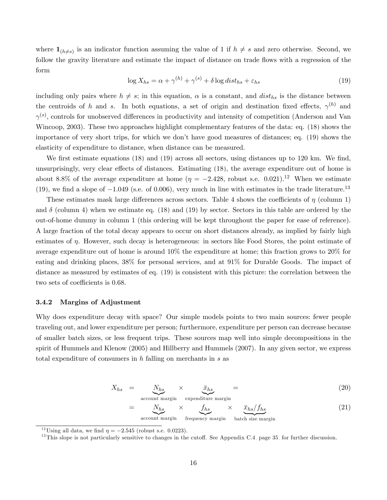where  $\mathbf{1}_{(h\neq s)}$  is an indicator function assuming the value of 1 if  $h \neq s$  and zero otherwise. Second, we follow the gravity literature and estimate the impact of distance on trade flows with a regression of the form

<span id="page-16-0"></span>
$$
\log X_{hs} = \alpha + \gamma^{(h)} + \gamma^{(s)} + \delta \log dist_{hs} + \varepsilon_{hs}
$$
\n(19)

including only pairs where  $h \neq s$ ; in this equation,  $\alpha$  is a constant, and  $dist_{hs}$  is the distance between the centroids of h and s. In both equations, a set of origin and destination fixed effects,  $\gamma^{(h)}$  and  $\gamma^{(s)}$ , controls for unobserved differences in productivity and intensity of competition (Anderson and Van Wincoop, 2003). These two approaches highlight complementary features of the data: eq. [\(18\)](#page-15-0) shows the importance of very short trips, for which we donít have good measures of distances; eq. [\(19\)](#page-16-0) shows the elasticity of expenditure to distance, when distance can be measured.

We first estimate equations  $(18)$  and  $(19)$  across all sectors, using distances up to 120 km. We find, unsurprisingly, very clear effects of distances. Estimating [\(18\)](#page-15-0), the average expenditure out of home is about 8.8% of the average expenditure at home  $(\eta = -2.428,$  robust s.e. 0.021).<sup>12</sup> When we estimate [\(19\)](#page-16-0), we find a slope of  $-1.049$  (s.e. of 0.006), very much in line with estimates in the trade literature.<sup>13</sup>

These estimates mask large differences across sectors. Table [4](#page-17-0) shows the coefficients of  $\eta$  (column 1) and  $\delta$  (column 4) when we estimate eq. [\(18\)](#page-15-0) and [\(19\)](#page-16-0) by sector. Sectors in this table are ordered by the out-of-home dummy in column 1 (this ordering will be kept throughout the paper for ease of reference). A large fraction of the total decay appears to occur on short distances already, as implied by fairly high estimates of  $\eta$ . However, such decay is heterogeneous: in sectors like Food Stores, the point estimate of average expenditure out of home is around 10% the expenditure at home; this fraction grows to 20% for eating and drinking places, 38% for personal services, and at 91% for Durable Goods. The impact of distance as measured by estimates of eq. [\(19\)](#page-16-0) is consistent with this picture: the correlation between the two sets of coefficients is 0.68.

### 3.4.2 Margins of Adjustment

Why does expenditure decay with space? Our simple models points to two main sources: fewer people traveling out, and lower expenditure per person; furthermore, expenditure per person can decrease because of smaller batch sizes, or less frequent trips. These sources map well into simple decompositions in the spirit of Hummels and Klenow (2005) and Hillberry and Hummels (2007). In any given sector, we express total expenditure of consumers in  $h$  falling on merchants in  $s$  as

<span id="page-16-1"></span>
$$
X_{hs} = \underbrace{N_{hs}}_{\text{account margin}} \times \underbrace{\bar{x}_{hs}}_{\text{expenditure margin}} = \tag{20}
$$

$$
= \underbrace{N_{hs}}_{\text{account margin}} \times \underbrace{f_{hs}}_{\text{frequency margin}} \times \underbrace{\bar{x}_{hs}/f_{hs}}_{\text{batch size margin}} \tag{21}
$$

<sup>&</sup>lt;sup>12</sup>Using all data, we find  $\eta = -2.545$  (robust s.e. 0.0223).

 $13$ This slope is not particularly sensitive to changes in the cutoff. See Appendix [C.4,](#page-15-1) page [35,](#page-15-1) for further discussion.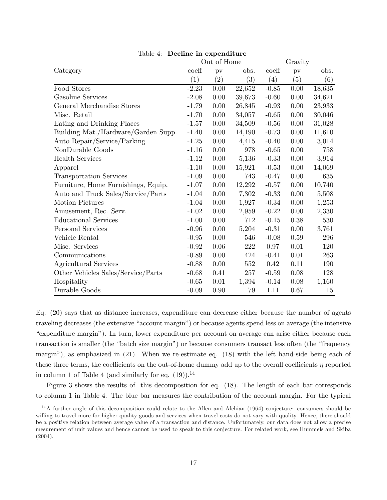|                                     |         | Out of Home       |        |                  | Gravity  |        |
|-------------------------------------|---------|-------------------|--------|------------------|----------|--------|
| Category                            | coeff   | pv                | obs.   | $\mathrm{coeff}$ | pv       | obs.   |
|                                     | (1)     | $\left( 2\right)$ | (3)    | (4)              | (5)      | (6)    |
| Food Stores                         | $-2.23$ | 0.00              | 22,652 | $-0.85$          | 0.00     | 18,635 |
| Gasoline Services                   | $-2.08$ | 0.00              | 39,673 | $-0.60$          | 0.00     | 34,621 |
| General Merchandise Stores          | $-1.79$ | 0.00              | 26,845 | $-0.93$          | 0.00     | 23,933 |
| Misc. Retail                        | $-1.70$ | 0.00              | 34,057 | $-0.65$          | 0.00     | 30,046 |
| Eating and Drinking Places          | $-1.57$ | 0.00              | 34,509 | $-0.56$          | 0.00     | 31,028 |
| Building Mat./Hardware/Garden Supp. | $-1.40$ | 0.00              | 14,190 | $-0.73$          | 0.00     | 11,610 |
| Auto Repair/Service/Parking         | $-1.25$ | 0.00              | 4,415  | $-0.40$          | 0.00     | 3,014  |
| NonDurable Goods                    | $-1.16$ | 0.00              | 978    | $-0.65$          | 0.00     | 758    |
| <b>Health Services</b>              | $-1.12$ | 0.00              | 5,136  | $-0.33$          | $0.00\,$ | 3,914  |
| Apparel                             | $-1.10$ | 0.00              | 15,921 | $-0.53$          | 0.00     | 14,069 |
| Transportation Services             | $-1.09$ | 0.00              | 743    | $-0.47$          | 0.00     | 635    |
| Furniture, Home Furnishings, Equip. | $-1.07$ | 0.00              | 12,292 | $-0.57$          | 0.00     | 10,740 |
| Auto and Truck Sales/Service/Parts  | $-1.04$ | $0.00\,$          | 7,302  | $-0.33$          | $0.00\,$ | 5,508  |
| Motion Pictures                     | $-1.04$ | 0.00              | 1,927  | $-0.34$          | 0.00     | 1,253  |
| Amusement, Rec. Serv.               | $-1.02$ | 0.00              | 2,959  | $-0.22$          | 0.00     | 2,330  |
| <b>Educational Services</b>         | $-1.00$ | 0.00              | 712    | $-0.15$          | 0.38     | 530    |
| Personal Services                   | $-0.96$ | 0.00              | 5,204  | $-0.31$          | $0.00\,$ | 3,761  |
| Vehicle Rental                      | $-0.95$ | 0.00              | 546    | $-0.08$          | 0.59     | 296    |
| Misc. Services                      | $-0.92$ | 0.06              | 222    | 0.97             | 0.01     | 120    |
| Communications                      | $-0.89$ | 0.00              | 424    | $-0.41$          | 0.01     | 263    |
| Agricultural Services               | $-0.88$ | 0.00              | 552    | 0.42             | 0.11     | 190    |
| Other Vehicles Sales/Service/Parts  | $-0.68$ | 0.41              | 257    | $-0.59$          | 0.08     | 128    |
| Hospitality                         | $-0.65$ | $0.01\,$          | 1,394  | $-0.14$          | 0.08     | 1,160  |
| Durable Goods                       | $-0.09$ | 0.90              | 79     | 1.11             | 0.67     | 15     |

<span id="page-17-0"></span>Table 4: Decline in expenditure

Eq. [\(20\)](#page-16-1) says that as distance increases, expenditure can decrease either because the number of agents traveling decreases (the extensive "account margin") or because agents spend less on average (the intensive ìexpenditure marginî). In turn, lower expenditure per account on average can arise either because each transaction is smaller (the "batch size margin") or because consumers transact less often (the "frequency") marginî), as emphasized in [\(21\)](#page-16-1). When we re-estimate eq. [\(18\)](#page-15-0) with the left hand-side being each of these three terms, the coefficients on the out-of-home dummy add up to the overall coefficients  $\eta$  reported in column 1 of Table [4](#page-17-0) (and similarly for eq.  $(19)$ ).<sup>14</sup>

Figure [3](#page-19-1) shows the results of this decomposition for eq. [\(18\)](#page-15-0). The length of each bar corresponds to column 1 in Table [4.](#page-17-0) The blue bar measures the contribution of the account margin. For the typical

<sup>14</sup>A further angle of this decomposition could relate to the Allen and Alchian (1964) conjecture: consumers should be willing to travel more for higher quality goods and services when travel costs do not vary with quality. Hence, there should be a positive relation between average value of a transaction and distance. Unfortunately, our data does not allow a precise mesurement of unit values and hence cannot be used to speak to this conjecture. For related work, see Hummels and Skiba (2004).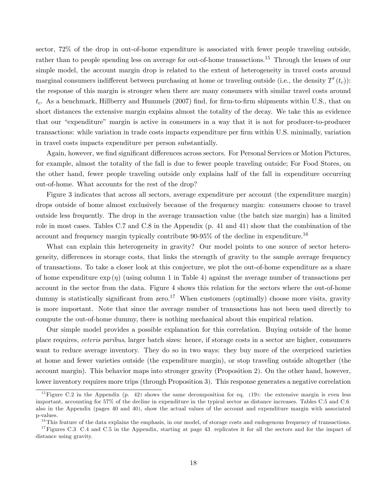sector, 72% of the drop in out-of-home expenditure is associated with fewer people traveling outside, rather than to people spending less on average for out-of-home transactions.<sup>15</sup> Through the lenses of our simple model, the account margin drop is related to the extent of heterogeneity in travel costs around marginal consumers indifferent between purchasing at home or traveling outside (i.e., the density  $T'(t_c)$ ): the response of this margin is stronger when there are many consumers with similar travel costs around  $t_c$ . As a benchmark, Hillberry and Hummels (2007) find, for firm-to-firm shipments within U.S., that on short distances the extensive margin explains almost the totality of the decay. We take this as evidence that our "expenditure" margin is active in consumers in a way that it is not for producer-to-producer transactions: while variation in trade costs impacts expenditure per firm within U.S. minimally, variation in travel costs impacts expenditure per person substantially.

Again, however, we find significant differences across sectors. For Personal Services or Motion Pictures, for example, almost the totality of the fall is due to fewer people traveling outside; For Food Stores, on the other hand, fewer people traveling outside only explains half of the fall in expenditure occurring out-of-home. What accounts for the rest of the drop?

Figure [3](#page-19-1) indicates that across all sectors, average expenditure per account (the expenditure margin) drops outside of home almost exclusively because of the frequency margin: consumers choose to travel outside less frequently. The drop in the average transaction value (the batch size margin) has a limited role in most cases. Tables [C.7](#page-41-0) and [C.8](#page-41-1) in the Appendix (p. [41](#page-41-0) and [41\)](#page-41-1) show that the combination of the account and frequency margin typically contribute 90-95% of the decline in expenditure.<sup>16</sup>

What can explain this heterogeneity in gravity? Our model points to one source of sector heterogeneity, differences in storage costs, that links the strength of gravity to the sample average frequency of transactions. To take a closer look at this conjecture, we plot the out-of-home expenditure as a share of home expenditure  $\exp(\eta)$  (using column 1 in Table [4\)](#page-17-0) against the average number of transactions per account in the sector from the data. Figure [4](#page-20-0) shows this relation for the sectors where the out-of-home dummy is statistically significant from zero.<sup>17</sup> When customers (optimally) choose more visits, gravity is more important. Note that since the average number of transactions has not been used directly to compute the out-of-home dummy, there is nothing mechanical about this empirical relation.

Our simple model provides a possible explanation for this correlation. Buying outside of the home place requires, ceteris paribus, larger batch sizes: hence, if storage costs in a sector are higher, consumers want to reduce average inventory. They do so in two ways: they buy more of the overpriced varieties at home and fewer varieties outside (the expenditure margin), or stop traveling outside altogether (the account margin). This behavior maps into stronger gravity (Proposition [2\)](#page-10-0). On the other hand, however, lower inventory requires more trips (through Proposition [3\)](#page-10-1). This response generates a negative correlation

<sup>&</sup>lt;sup>15</sup>Figure [C.2](#page-42-0) in the Appendix (p. [42\)](#page-42-0) shows the same decomposition for eq. [\(19\)](#page-16-0): the extensive margin is even less important, accounting for 57% of the decline in expenditure in the typical sector as distance increases. Tables [C.5](#page-40-0) and [C.6,](#page-40-1) also in the Appendix (pages [40](#page-40-0) and [40\)](#page-40-1), show the actual values of the account and expenditure margin with associated p-values.

 $16$ This feature of the data explains the emphasis, in our model, of storage costs and endogenous frequency of transactions.

<sup>&</sup>lt;sup>17</sup>Figures [C.3,](#page-43-0) [C.4](#page-43-1) and [C.5](#page-44-0) in the Appendix, starting at page [43,](#page-43-0) replicates it for all the sectors and for the impact of distance using gravity.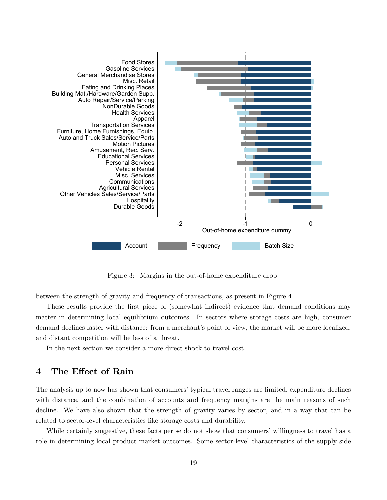

<span id="page-19-1"></span>Figure 3: Margins in the out-of-home expenditure drop

between the strength of gravity and frequency of transactions, as present in Figure [4.](#page-20-0)

These results provide the first piece of (somewhat indirect) evidence that demand conditions may matter in determining local equilibrium outcomes. In sectors where storage costs are high, consumer demand declines faster with distance: from a merchant's point of view, the market will be more localized, and distant competition will be less of a threat.

In the next section we consider a more direct shock to travel cost.

# <span id="page-19-0"></span>4 The Effect of Rain

The analysis up to now has shown that consumers' typical travel ranges are limited, expenditure declines with distance, and the combination of accounts and frequency margins are the main reasons of such decline. We have also shown that the strength of gravity varies by sector, and in a way that can be related to sector-level characteristics like storage costs and durability.

While certainly suggestive, these facts per se do not show that consumers' willingness to travel has a role in determining local product market outcomes. Some sector-level characteristics of the supply side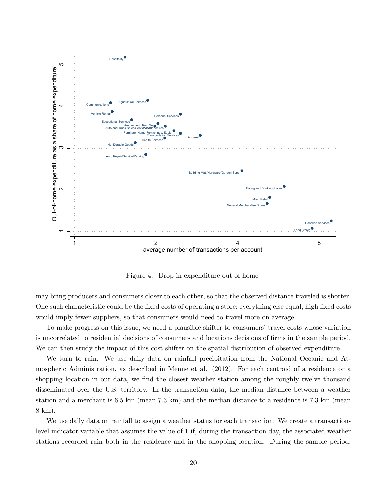

<span id="page-20-0"></span>Figure 4: Drop in expenditure out of home

may bring producers and consumers closer to each other, so that the observed distance traveled is shorter. One such characteristic could be the fixed costs of operating a store: everything else equal, high fixed costs would imply fewer suppliers, so that consumers would need to travel more on average.

To make progress on this issue, we need a plausible shifter to consumers' travel costs whose variation is uncorrelated to residential decisions of consumers and locations decisions of Örms in the sample period. We can then study the impact of this cost shifter on the spatial distribution of observed expenditure.

We turn to rain. We use daily data on rainfall precipitation from the National Oceanic and Atmospheric Administration, as described in Menne et al. (2012). For each centroid of a residence or a shopping location in our data, we find the closest weather station among the roughly twelve thousand disseminated over the U.S. territory. In the transaction data, the median distance between a weather station and a merchant is 6.5 km (mean 7.3 km) and the median distance to a residence is 7.3 km (mean 8 km).

We use daily data on rainfall to assign a weather status for each transaction. We create a transactionlevel indicator variable that assumes the value of 1 if, during the transaction day, the associated weather stations recorded rain both in the residence and in the shopping location. During the sample period,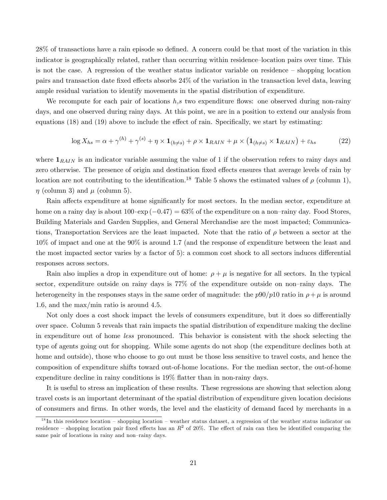28% of transactions have a rain episode so defined. A concern could be that most of the variation in this indicator is geographically related, rather than occurring within residence-location pairs over time. This is not the case. A regression of the weather status indicator variable on residence  $\overline{\phantom{a}}$  shopping location pairs and transaction date fixed effects absorbs  $24\%$  of the variation in the transaction level data, leaving ample residual variation to identify movements in the spatial distribution of expenditure.

We recompute for each pair of locations  $h,s$  two expenditure flows: one observed during non-rainy days, and one observed during rainy days. At this point, we are in a position to extend our analysis from equations  $(18)$  and  $(19)$  above to include the effect of rain. Specifically, we start by estimating:

$$
\log X_{hs} = \alpha + \gamma^{(h)} + \gamma^{(s)} + \eta \times \mathbf{1}_{(h \neq s)} + \rho \times \mathbf{1}_{RAIN} + \mu \times (\mathbf{1}_{(h \neq s)} \times \mathbf{1}_{RAIN}) + \varepsilon_{hs} \tag{22}
$$

where  $\mathbf{1}_{RAIN}$  is an indicator variable assuming the value of 1 if the observation refers to rainy days and zero otherwise. The presence of origin and destination fixed effects ensures that average levels of rain by location are not contributing to the identification.<sup>18</sup> Table [5](#page-22-0) shows the estimated values of  $\rho$  (column 1),  $\eta$  (column 3) and  $\mu$  (column 5).

Rain affects expenditure at home significantly for most sectors. In the median sector, expenditure at home on a rainy day is about  $100 \cdot \exp(-0.47) = 63\%$  of the expenditure on a non-rainy day. Food Stores, Building Materials and Garden Supplies, and General Merchandise are the most impacted; Communications, Transportation Services are the least impacted. Note that the ratio of  $\rho$  between a sector at the 10% of impact and one at the 90% is around 1.7 (and the response of expenditure between the least and the most impacted sector varies by a factor of 5): a common cost shock to all sectors induces differential responses across sectors.

Rain also implies a drop in expenditure out of home:  $\rho + \mu$  is negative for all sectors. In the typical sector, expenditure outside on rainy days is  $77\%$  of the expenditure outside on non-rainy days. The heterogeneity in the responses stays in the same order of magnitude: the  $p90/p10$  ratio in  $\rho + \mu$  is around 1.6, and the max/min ratio is around 4.5.

Not only does a cost shock impact the levels of consumers expenditure, but it does so differentially over space. Column 5 reveals that rain impacts the spatial distribution of expenditure making the decline in expenditure out of home less pronounced. This behavior is consistent with the shock selecting the type of agents going out for shopping. While some agents do not shop (the expenditure declines both at home and outside), those who choose to go out must be those less sensitive to travel costs, and hence the composition of expenditure shifts toward out-of-home locations. For the median sector, the out-of-home expenditure decline in rainy conditions is 19% flatter than in non-rainy days.

It is useful to stress an implication of these results. These regressions are showing that selection along travel costs is an important determinant of the spatial distribution of expenditure given location decisions of consumers and Örms. In other words, the level and the elasticity of demand faced by merchants in a

 $18$  In this residence location – shopping location – weather status dataset, a regression of the weather status indicator on residence – shopping location pair fixed effects has an  $R^2$  of 20%. The effect of rain can then be identified comparing the same pair of locations in rainy and non-rainy days.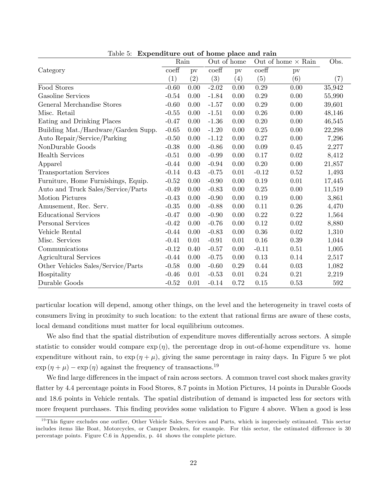|                                     | Rain              |      |                           | Out of home              |                  | Out of home $\times$ Rain | Obs.   |
|-------------------------------------|-------------------|------|---------------------------|--------------------------|------------------|---------------------------|--------|
| Category                            | $\mathrm{coeff}$  | pv   | $\overline{\text{coeff}}$ | $\overline{\mathrm{pv}}$ | $\mathrm{coeff}$ | pv                        |        |
|                                     | $\left( 1\right)$ | (2)  | (3)                       | (4)                      | (5)              | (6)                       | (7)    |
| Food Stores                         | $-0.60$           | 0.00 | $-2.02$                   | 0.00                     | 0.29             | $0.00\,$                  | 35,942 |
| <b>Gasoline Services</b>            | $-0.54$           | 0.00 | $-1.84$                   | 0.00                     | 0.29             | 0.00                      | 55,990 |
| General Merchandise Stores          | $-0.60$           | 0.00 | $-1.57$                   | 0.00                     | 0.29             | 0.00                      | 39,601 |
| Misc. Retail                        | $-0.55$           | 0.00 | $-1.51$                   | 0.00                     | 0.26             | 0.00                      | 48,146 |
| Eating and Drinking Places          | $-0.47$           | 0.00 | $-1.36$                   | 0.00                     | 0.20             | 0.00                      | 46,545 |
| Building Mat./Hardware/Garden Supp. | $-0.65$           | 0.00 | $-1.20$                   | 0.00                     | 0.25             | 0.00                      | 22,298 |
| Auto Repair/Service/Parking         | $-0.50$           | 0.00 | $-1.12$                   | 0.00                     | 0.27             | 0.00                      | 7,296  |
| NonDurable Goods                    | $-0.38$           | 0.00 | $-0.86$                   | 0.00                     | 0.09             | 0.45                      | 2,277  |
| <b>Health Services</b>              | $-0.51$           | 0.00 | $-0.99$                   | $0.00\,$                 | 0.17             | $0.02\,$                  | 8,412  |
| Apparel                             | $-0.44$           | 0.00 | $-0.94$                   | 0.00                     | 0.20             | 0.00                      | 21,857 |
| Transportation Services             | $-0.14$           | 0.43 | $-0.75$                   | 0.01                     | $-0.12$          | 0.52                      | 1,493  |
| Furniture, Home Furnishings, Equip. | $-0.52$           | 0.00 | $-0.90$                   | 0.00                     | 0.19             | 0.01                      | 17,445 |
| Auto and Truck Sales/Service/Parts  | $-0.49$           | 0.00 | $-0.83$                   | 0.00                     | 0.25             | 0.00                      | 11,519 |
| <b>Motion Pictures</b>              | $-0.43$           | 0.00 | $-0.90$                   | 0.00                     | 0.19             | 0.00                      | 3,861  |
| Amusement, Rec. Serv.               | $-0.35$           | 0.00 | $-0.88$                   | 0.00                     | 0.11             | 0.26                      | 4,470  |
| <b>Educational Services</b>         | $-0.47$           | 0.00 | $-0.90$                   | 0.00                     | 0.22             | 0.22                      | 1,564  |
| Personal Services                   | $-0.42$           | 0.00 | $-0.76$                   | $0.00\,$                 | 0.12             | $0.02\,$                  | 8,880  |
| Vehicle Rental                      | $-0.44$           | 0.00 | $-0.83$                   | 0.00                     | 0.36             | 0.02                      | 1,310  |
| Misc. Services                      | $-0.41$           | 0.01 | $-0.91$                   | 0.01                     | 0.16             | 0.39                      | 1,044  |
| Communications                      | $-0.12$           | 0.40 | $-0.57$                   | 0.00                     | $-0.11$          | 0.51                      | 1,005  |
| Agricultural Services               | $-0.44$           | 0.00 | $-0.75$                   | 0.00                     | 0.13             | 0.14                      | 2,517  |
| Other Vehicles Sales/Service/Parts  | $-0.58$           | 0.00 | $-0.60$                   | 0.29                     | 0.44             | 0.03                      | 1,082  |
| Hospitality                         | $-0.46$           | 0.01 | $-0.53$                   | 0.01                     | 0.24             | 0.21                      | 2,219  |
| Durable Goods                       | $-0.52$           | 0.01 | $-0.14$                   | 0.72                     | 0.15             | 0.53                      | 592    |

<span id="page-22-0"></span>Table 5: Expenditure out of home place and rain

particular location will depend, among other things, on the level and the heterogeneity in travel costs of consumers living in proximity to such location: to the extent that rational firms are aware of these costs, local demand conditions must matter for local equilibrium outcomes.

We also find that the spatial distribution of expenditure moves differentially across sectors. A simple statistic to consider would compare  $\exp(\eta)$ , the percentage drop in out-of-home expenditure vs. home expenditure without rain, to  $\exp(\eta + \mu)$ , giving the same percentage in rainy days. In Figure [5](#page-23-0) we plot  $\exp(\eta + \mu) - \exp(\eta)$  against the frequency of transactions.<sup>19</sup>

We find large differences in the impact of rain across sectors. A common travel cost shock makes gravity flatter by 4.4 percentage points in Food Stores, 8.7 points in Motion Pictures, 14 points in Durable Goods and 18.6 points in Vehicle rentals. The spatial distribution of demand is impacted less for sectors with more frequent purchases. This finding provides some validation to Figure [4](#page-20-0) above. When a good is less

 $19$ This figure excludes one outlier, Other Vehicle Sales, Services and Parts, which is imprecisely estimated. This sector includes items like Boat, Motorcycles, or Camper Dealers, for example. For this sector, the estimated difference is 30 percentage points. Figure [C.6](#page-44-1) in Appendix, p. [44,](#page-44-1) shows the complete picture.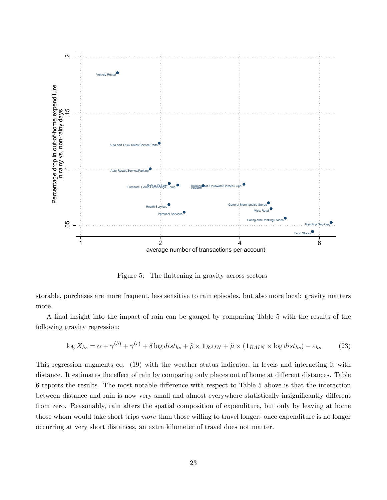

<span id="page-23-0"></span>Figure 5: The flattening in gravity across sectors

storable, purchases are more frequent, less sensitive to rain episodes, but also more local: gravity matters more.

A Önal insight into the impact of rain can be gauged by comparing Table [5](#page-22-0) with the results of the following gravity regression:

$$
\log X_{hs} = \alpha + \gamma^{(h)} + \gamma^{(s)} + \delta \log dist_{hs} + \tilde{\rho} \times \mathbf{1}_{RAIN} + \tilde{\mu} \times (\mathbf{1}_{RAIN} \times \log dist_{hs}) + \varepsilon_{hs} \tag{23}
$$

This regression augments eq. [\(19\)](#page-16-0) with the weather status indicator, in levels and interacting it with distance. It estimates the effect of rain by comparing only places out of home at different distances. Table [6](#page-24-1) reports the results. The most notable difference with respect to Table [5](#page-22-0) above is that the interaction between distance and rain is now very small and almost everywhere statistically insignificantly different from zero. Reasonably, rain alters the spatial composition of expenditure, but only by leaving at home those whom would take short trips more than those willing to travel longer: once expenditure is no longer occurring at very short distances, an extra kilometer of travel does not matter.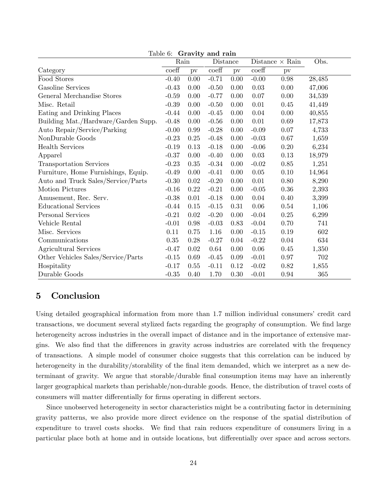|                                     | ranic v.<br>Rain          |      | aravity and rain<br>Distance |      |                  | Distance $\times$ Rain | Obs.   |
|-------------------------------------|---------------------------|------|------------------------------|------|------------------|------------------------|--------|
| Category                            | $\overline{\text{coeff}}$ | pv   | $\mathrm{coeff}$             | pv   | $\mathrm{coeff}$ | $\mathbf{p}$           |        |
| Food Stores                         | $-0.40$                   | 0.00 | $-0.71$                      | 0.00 | $-0.00$          | 0.98                   | 28,485 |
| Gasoline Services                   | $-0.43$                   | 0.00 | $-0.50$                      | 0.00 | 0.03             | 0.00                   | 47,006 |
| General Merchandise Stores          | $-0.59$                   | 0.00 | $-0.77$                      | 0.00 | 0.07             | 0.00                   | 34,539 |
| Misc. Retail                        | $-0.39$                   | 0.00 | $-0.50$                      | 0.00 | 0.01             | 0.45                   | 41,449 |
| Eating and Drinking Places          | $-0.44$                   | 0.00 | $-0.45$                      | 0.00 | 0.04             | 0.00                   | 40,855 |
| Building Mat./Hardware/Garden Supp. | $-0.48$                   | 0.00 | $-0.56$                      | 0.00 | 0.01             | 0.69                   | 17,873 |
| Auto Repair/Service/Parking         | $-0.00$                   | 0.99 | $-0.28$                      | 0.00 | $-0.09$          | 0.07                   | 4,733  |
| NonDurable Goods                    | $-0.23$                   | 0.25 | $-0.48$                      | 0.00 | $-0.03$          | 0.67                   | 1,659  |
| <b>Health Services</b>              | $-0.19$                   | 0.13 | $-0.18$                      | 0.00 | $-0.06$          | 0.20                   | 6,234  |
| Apparel                             | $-0.37$                   | 0.00 | $-0.40$                      | 0.00 | 0.03             | 0.13                   | 18,979 |
| Transportation Services             | $-0.23$                   | 0.35 | $-0.34$                      | 0.00 | $-0.02$          | 0.85                   | 1,251  |
| Furniture, Home Furnishings, Equip. | $-0.49$                   | 0.00 | $-0.41$                      | 0.00 | 0.05             | 0.10                   | 14,964 |
| Auto and Truck Sales/Service/Parts  | $-0.30$                   | 0.02 | $-0.20$                      | 0.00 | $0.01\,$         | $0.80\,$               | 8,290  |
| Motion Pictures                     | $-0.16$                   | 0.22 | $-0.21$                      | 0.00 | $-0.05$          | $0.36\,$               | 2,393  |
| Amusement, Rec. Serv.               | $-0.38$                   | 0.01 | $-0.18$                      | 0.00 | 0.04             | 0.40                   | 3,399  |
| <b>Educational Services</b>         | $-0.44$                   | 0.15 | $-0.15$                      | 0.31 | 0.06             | 0.54                   | 1,106  |
| Personal Services                   | $-0.21$                   | 0.02 | $-0.20$                      | 0.00 | $-0.04$          | 0.25                   | 6,299  |
| Vehicle Rental                      | $-0.01$                   | 0.98 | $-0.03$                      | 0.83 | $-0.04$          | 0.70                   | 741    |
| Misc. Services                      | 0.11                      | 0.75 | 1.16                         | 0.00 | $-0.15$          | 0.19                   | 602    |
| Communications                      | $0.35\,$                  | 0.28 | $-0.27$                      | 0.04 | $-0.22$          | 0.04                   | 634    |
| Agricultural Services               | $-0.47$                   | 0.02 | 0.64                         | 0.00 | 0.06             | 0.45                   | 1,350  |
| Other Vehicles Sales/Service/Parts  | $-0.15$                   | 0.69 | $-0.45$                      | 0.09 | $-0.01$          | $0.97\,$               | 702    |
| Hospitality                         | $-0.17$                   | 0.55 | $-0.11$                      | 0.12 | $-0.02$          | 0.82                   | 1,855  |
| Durable Goods                       | $-0.35$                   | 0.40 | 1.70                         | 0.30 | $-0.01$          | 0.94                   | 365    |

<span id="page-24-1"></span>Table 6: Gravity and rain

# <span id="page-24-0"></span>5 Conclusion

Using detailed geographical information from more than 1.7 million individual consumers' credit card transactions, we document several stylized facts regarding the geography of consumption. We find large heterogeneity across industries in the overall impact of distance and in the importance of extensive margins. We also find that the differences in gravity across industries are correlated with the frequency of transactions. A simple model of consumer choice suggests that this correlation can be induced by heterogeneity in the durability/storability of the final item demanded, which we interpret as a new determinant of gravity. We argue that storable/durable Önal consumption items may have an inherently larger geographical markets than perishable/non-durable goods. Hence, the distribution of travel costs of consumers will matter differentially for firms operating in different sectors.

Since unobserved heterogeneity in sector characteristics might be a contributing factor in determining gravity patterns, we also provide more direct evidence on the response of the spatial distribution of expenditure to travel costs shocks. We find that rain reduces expenditure of consumers living in a particular place both at home and in outside locations, but differentially over space and across sectors.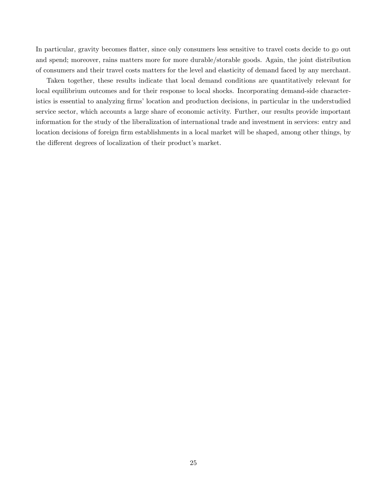In particular, gravity becomes áatter, since only consumers less sensitive to travel costs decide to go out and spend; moreover, rains matters more for more durable/storable goods. Again, the joint distribution of consumers and their travel costs matters for the level and elasticity of demand faced by any merchant.

Taken together, these results indicate that local demand conditions are quantitatively relevant for local equilibrium outcomes and for their response to local shocks. Incorporating demand-side characteristics is essential to analyzing firms' location and production decisions, in particular in the understudied service sector, which accounts a large share of economic activity. Further, our results provide important information for the study of the liberalization of international trade and investment in services: entry and location decisions of foreign firm establishments in a local market will be shaped, among other things, by the different degrees of localization of their product's market.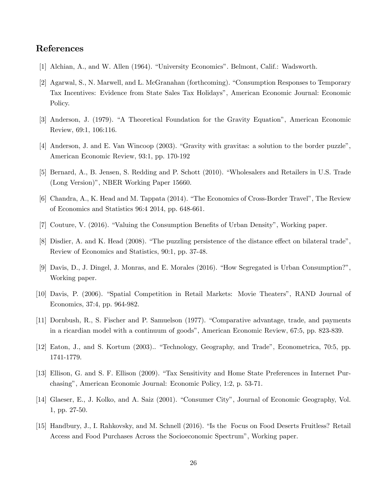# References

- [1] Alchian, A., and W. Allen (1964). "University Economics". Belmont, Calif.: Wadsworth.
- [2] Agarwal, S., N. Marwell, and L. McGranahan (forthcoming). "Consumption Responses to Temporary Tax Incentives: Evidence from State Sales Tax Holidaysî, American Economic Journal: Economic Policy.
- [3] Anderson, J. (1979). "A Theoretical Foundation for the Gravity Equation", American Economic Review, 69:1, 106:116.
- [4] Anderson, J. and E. Van Wincoop (2003). "Gravity with gravitas: a solution to the border puzzle", American Economic Review, 93:1, pp. 170-192
- [5] Bernard, A., B. Jensen, S. Redding and P. Schott (2010). "Wholesalers and Retailers in U.S. Trade (Long Version)", NBER Working Paper 15660.
- [6] Chandra, A., K. Head and M. Tappata (2014). "The Economics of Cross-Border Travel", The Review of Economics and Statistics 96:4 2014, pp. 648-661.
- [7] Couture, V. (2016). "Valuing the Consumption Benefits of Urban Density", Working paper.
- [8] Disdier, A. and K. Head (2008). "The puzzling persistence of the distance effect on bilateral trade", Review of Economics and Statistics, 90:1, pp. 37-48.
- [9] Davis, D., J. Dingel, J. Monras, and E. Morales (2016). "How Segregated is Urban Consumption?", Working paper.
- [10] Davis, P. (2006). "Spatial Competition in Retail Markets: Movie Theaters", RAND Journal of Economics, 37:4, pp. 964-982.
- [11] Dornbush, R., S. Fischer and P. Samuelson (1977). "Comparative advantage, trade, and payments in a ricardian model with a continuum of goods", American Economic Review, 67:5, pp. 823-839.
- [12] Eaton, J., and S. Kortum (2003).. "Technology, Geography, and Trade", Econometrica, 70:5, pp. 1741-1779.
- [13] Ellison, G. and S. F. Ellison (2009). "Tax Sensitivity and Home State Preferences in Internet Purchasingî, American Economic Journal: Economic Policy, 1:2, p. 53-71.
- [14] Glaeser, E., J. Kolko, and A. Saiz (2001). "Consumer City", Journal of Economic Geography, Vol. 1, pp. 27-50.
- [15] Handbury, J., I. Rahkovsky, and M. Schnell (2016). "Is the Focus on Food Deserts Fruitless? Retail Access and Food Purchases Across the Socioeconomic Spectrum<sup>n</sup>, Working paper.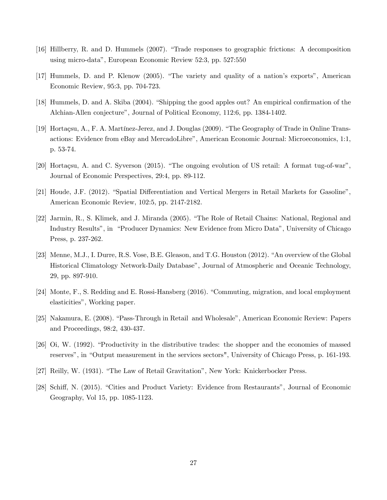- [16] Hillberry, R. and D. Hummels (2007). "Trade responses to geographic frictions: A decomposition using micro-dataî, European Economic Review 52:3, pp. 527:550
- [17] Hummels, D. and P. Klenow (2005). "The variety and quality of a nation's exports", American Economic Review, 95:3, pp. 704-723.
- [18] Hummels, D. and A. Skiba (2004). "Shipping the good apples out? An empirical confirmation of the Alchian-Allen conjectureî, Journal of Political Economy, 112:6, pp. 1384-1402.
- [19] Hortaçsu, A., F. A. Martínez-Jerez, and J. Douglas (2009). "The Geography of Trade in Online Transactions: Evidence from eBay and MercadoLibre", American Economic Journal: Microeconomics, 1:1, p. 53-74.
- [20] Hortaçsu, A. and C. Syverson (2015). "The ongoing evolution of US retail: A format tug-of-war", Journal of Economic Perspectives, 29:4, pp. 89-112.
- [21] Houde, J.F. (2012). "Spatial Differentiation and Vertical Mergers in Retail Markets for Gasoline", American Economic Review, 102:5, pp. 2147-2182.
- [22] Jarmin, R., S. Klimek, and J. Miranda (2005). "The Role of Retail Chains: National, Regional and Industry Results", in "Producer Dynamics: New Evidence from Micro Data", University of Chicago Press, p. 237-262.
- [23] Menne, M.J., I. Durre, R.S. Vose, B.E. Gleason, and T.G. Houston (2012). "An overview of the Global Historical Climatology Network-Daily Database", Journal of Atmospheric and Oceanic Technology, 29, pp. 897-910.
- [24] Monte, F., S. Redding and E. Rossi-Hansberg (2016). "Commuting, migration, and local employment elasticities", Working paper.
- [25] Nakamura, E. (2008). "Pass-Through in Retail and Wholesale", American Economic Review: Papers and Proceedings, 98:2, 430-437.
- [26] Oi, W. (1992). "Productivity in the distributive trades: the shopper and the economies of massed reserves", in "Output measurement in the services sectors", University of Chicago Press, p. 161-193.
- [27] Reilly, W. (1931). "The Law of Retail Gravitation", New York: Knickerbocker Press.
- [28] Schiff, N. (2015). "Cities and Product Variety: Evidence from Restaurants", Journal of Economic Geography, Vol 15, pp. 1085-1123.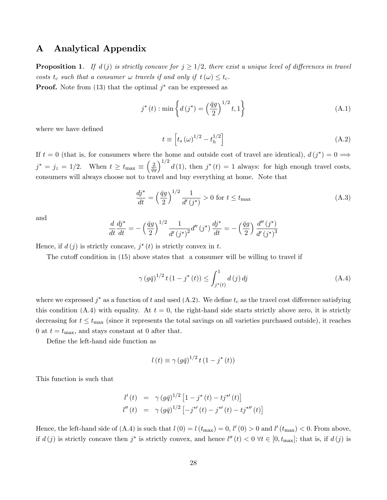# <span id="page-28-0"></span>A Analytical Appendix

**Proposition [1.](#page-8-2)** If  $d(j)$  is strictly concave for  $j \geq 1/2$ , there exist a unique level of differences in travel costs  $t_c$  such that a consumer  $\omega$  travels if and only if  $t(\omega) \leq t_c$ . **Proof.** Note from  $(13)$  that the optimal  $j^*$  can be expressed as

$$
j^*(t) : \min\left\{ d\left(j^*\right) = \left(\frac{\bar{q}g}{2}\right)^{1/2} t, 1 \right\} \tag{A.1}
$$

where we have defined

<span id="page-28-1"></span>
$$
t \equiv \left[ t_s \left( \omega \right)^{1/2} - t_h^{1/2} \right] \tag{A.2}
$$

If  $t = 0$  (that is, for consumers where the home and outside cost of travel are identical),  $d(j^*) = 0 \implies$  $j^* = j_z = 1/2$ . When  $t \ge t_{\text{max}} \equiv \left(\frac{2}{\bar{q}_\text{S}}\right)$  $\bar{q}g$  $\int_{1/2}^{1/2} d(1)$ , then  $j^*(t) = 1$  always: for high enough travel costs, consumers will always choose not to travel and buy everything at home. Note that

<span id="page-28-3"></span>
$$
\frac{d\dot{y}^*}{dt} = \left(\frac{\bar{q}g}{2}\right)^{1/2} \frac{1}{d'(j^*)} > 0 \text{ for } t \le t_{\text{max}} \tag{A.3}
$$

and

$$
\frac{d}{dt}\frac{dj^*}{dt} = -\left(\frac{\bar{q}g}{2}\right)^{1/2} \frac{1}{d'\left(j^*\right)^2} d''\left(j^*\right) \frac{dj^*}{dt} = -\left(\frac{\bar{q}g}{2}\right) \frac{d''\left(j^*\right)}{d'\left(j^*\right)^3}
$$

Hence, if  $d(j)$  is strictly concave,  $j^*(t)$  is strictly convex in t.

The cutoff condition in  $(15)$  above states that a consumer will be willing to travel if

<span id="page-28-2"></span>
$$
\gamma (g\bar{q})^{1/2} t (1 - j^*(t)) \le \int_{j^*(t)}^1 d(j) \, dj \tag{A.4}
$$

where we expressed  $j^*$  as a function of t and used [\(A.2\)](#page-28-1). We define  $t_c$  as the travel cost difference satisfying this condition [\(A.4\)](#page-28-2) with equality. At  $t = 0$ , the right-hand side starts strictly above zero, it is strictly decreasing for  $t \leq t_{\text{max}}$  (since it represents the total savings on all varieties purchased outside), it reaches 0 at  $t = t_{\text{max}}$ , and stays constant at 0 after that.

Define the left-hand side function as

$$
l(t) \equiv \gamma (g\bar{q})^{1/2} t (1 - j^*(t))
$$

This function is such that

$$
l'(t) = \gamma (g\bar{q})^{1/2} [1 - j^* (t) - t j^{*'} (t)]
$$
  

$$
l''(t) = \gamma (g\bar{q})^{1/2} [-j^{*'} (t) - j^{*'} (t) - t j^{*''} (t)]
$$

Hence, the left-hand side of [\(A.4\)](#page-28-2) is such that  $l(0) = l(t_{\text{max}}) = 0$ ,  $l'(0) > 0$  and  $l'(t_{\text{max}}) < 0$ . From above, if  $d(j)$  is strictly concave then  $j^*$  is strictly convex, and hence  $l''(t) < 0 \ \forall t \in [0, t_{\text{max}}]$ ; that is, if  $d(j)$  is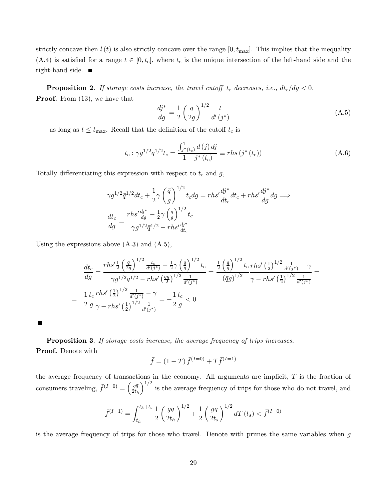strictly concave then  $l(t)$  is also strictly concave over the range  $[0, t_{\text{max}}]$ . This implies that the inequality [\(A.4\)](#page-28-2) is satisfied for a range  $t \in [0, t_c]$ , where  $t_c$  is the unique intersection of the left-hand side and the right-hand side.  $\blacksquare$ 

**Proposition [2.](#page-10-0)** If storage costs increase, the travel cutoff  $t_c$  decreases, i.e.,  $dt_c/dg < 0$ . Proof. From [\(13\)](#page-8-0), we have that

<span id="page-29-0"></span>
$$
\frac{dj^*}{dg} = \frac{1}{2} \left(\frac{\bar{q}}{2g}\right)^{1/2} \frac{t}{d'(j^*)}
$$
\n(A.5)

as long as  $t \leq t_{\text{max}}$ . Recall that the definition of the cutoff  $t_c$  is

$$
t_c: \gamma g^{1/2} \bar{q}^{1/2} t_c = \frac{\int_{j^*(t_c)}^1 d(j) \, dj}{1 - j^*(t_c)} \equiv r h s \left( j^*(t_c) \right) \tag{A.6}
$$

Totally differentiating this expression with respect to  $t_c$  and  $g$ ,

$$
\gamma g^{1/2} \bar{q}^{1/2} dt_c + \frac{1}{2} \gamma \left(\frac{\bar{q}}{g}\right)^{1/2} t_c dg = r h s' \frac{dj^*}{dt_c} dt_c + r h s' \frac{dj^*}{dg} dg \Longrightarrow
$$
  

$$
\frac{dt_c}{dg} = \frac{r h s' \frac{dj^*}{dg} - \frac{1}{2} \gamma \left(\frac{\bar{q}}{g}\right)^{1/2} t_c}{\gamma g^{1/2} \bar{q}^{1/2} - r h s' \frac{dj^*}{dt_c}}
$$

Using the expressions above  $(A.3)$  and  $(A.5)$ ,

$$
\frac{dt_c}{dg} = \frac{r h s' \frac{1}{2} \left(\frac{\bar{q}}{2g}\right)^{1/2} \frac{t_c}{d'(j^*)} - \frac{1}{2} \gamma \left(\frac{\bar{q}}{g}\right)^{1/2} t_c}{\gamma g^{1/2} \bar{q}^{1/2} - r h s' \left(\frac{\bar{q}g}{2}\right)^{1/2} \frac{1}{d'(j^*)}} = \frac{\frac{1}{2} \left(\frac{\bar{q}}{g}\right)^{1/2} t_c r h s' \left(\frac{1}{2}\right)^{1/2} \frac{1}{d'(j^*)} - \gamma}{\left(\bar{q}g\right)^{1/2} \gamma - r h s' \left(\frac{1}{2}\right)^{1/2} \frac{1}{d'(j^*)}} = \frac{\frac{1}{2} t_c r h s' \left(\frac{1}{2}\right)^{1/2} \frac{1}{d'(j^*)}}{\frac{1}{2} \gamma - r h s' \left(\frac{1}{2}\right)^{1/2} \frac{1}{d'(j^*)} - \gamma} = -\frac{1}{2} \frac{t_c}{g} < 0
$$

 $\blacksquare$ 

Proposition [3](#page-10-1). If storage costs increase, the average frequency of trips increases. Proof. Denote with

$$
\bar{f} = (1 - T) \,\bar{f}^{(I=0)} + T \,\bar{f}^{(I=1)}
$$

the average frequency of transactions in the economy. All arguments are implicit,  $T$  is the fraction of consumers traveling,  $\bar{f}^{(I=0)} = \left(\frac{g\bar{q}}{2t}\right)$  $2t_h$  $\int_{0}^{1/2}$  is the average frequency of trips for those who do not travel, and

$$
\bar{f}^{(I=1)} = \int_{t_h}^{t_h + t_c} \frac{1}{2} \left(\frac{g\bar{q}}{2t_h}\right)^{1/2} + \frac{1}{2} \left(\frac{g\bar{q}}{2t_s}\right)^{1/2} dT(t_s) < \bar{f}^{(I=0)}
$$

is the average frequency of trips for those who travel. Denote with primes the same variables when g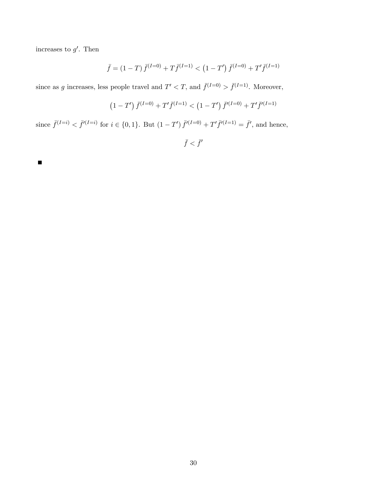increases to  $g'$ . Then

$$
\bar{f} = (1 - T) \,\bar{f}^{(I=0)} + T \,\bar{f}^{(I=1)} < (1 - T') \,\bar{f}^{(I=0)} + T' \,\bar{f}^{(I=1)}
$$

since as g increases, less people travel and  $T' < T$ , and  $\bar{f}^{(I=0)} > \bar{f}^{(I=1)}$ . Moreover,

$$
(1-T')\,\bar{f}^{(I=0)}+T'\bar{f}^{(I=1)}<(1-T')\,\bar{f}'^{(I=0)}+T'\bar{f}'^{(I=1)}
$$

since  $\bar{f}^{(I=i)} < \bar{f}'^{(I=i)}$  for  $i \in \{0,1\}$ . But  $(1-T') \bar{f}'^{(I=0)} + T' \bar{f}'^{(I=1)} = \bar{f}'$ , and hence,

 $\bar{f} < \bar{f}'$ 

 $\blacksquare$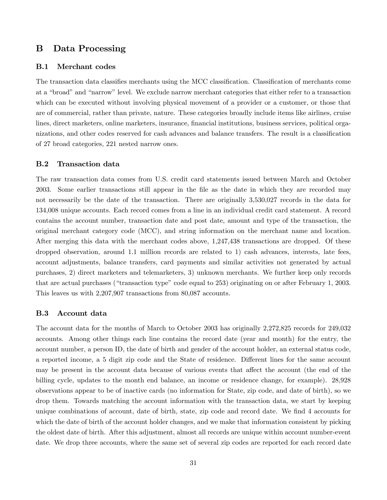# <span id="page-31-0"></span>B Data Processing

### B.1 Merchant codes

The transaction data classifies merchants using the MCC classification. Classification of merchants come at a "broad" and "narrow" level. We exclude narrow merchant categories that either refer to a transaction which can be executed without involving physical movement of a provider or a customer, or those that are of commercial, rather than private, nature. These categories broadly include items like airlines, cruise lines, direct marketers, online marketers, insurance, financial institutions, business services, political organizations, and other codes reserved for cash advances and balance transfers. The result is a classification of 27 broad categories, 221 nested narrow ones.

### B.2 Transaction data

The raw transaction data comes from U.S. credit card statements issued between March and October 2003. Some earlier transactions still appear in the Öle as the date in which they are recorded may not necessarily be the date of the transaction. There are originally 3,530,027 records in the data for 134,008 unique accounts. Each record comes from a line in an individual credit card statement. A record contains the account number, transaction date and post date, amount and type of the transaction, the original merchant category code (MCC), and string information on the merchant name and location. After merging this data with the merchant codes above, 1,247,438 transactions are dropped. Of these dropped observation, around 1.1 million records are related to 1) cash advances, interests, late fees, account adjustments, balance transfers, card payments and similar activities not generated by actual purchases, 2) direct marketers and telemarketers, 3) unknown merchants. We further keep only records that are actual purchases ("transaction type" code equal to 253) originating on or after February 1, 2003. This leaves us with 2,207,907 transactions from 80,087 accounts.

#### B.3 Account data

The account data for the months of March to October 2003 has originally 2,272,825 records for 249,032 accounts. Among other things each line contains the record date (year and month) for the entry, the account number, a person ID, the date of birth and gender of the account holder, an external status code, a reported income, a 5 digit zip code and the State of residence. Different lines for the same account may be present in the account data because of various events that affect the account (the end of the billing cycle, updates to the month end balance, an income or residence change, for example). 28,928 observations appear to be of inactive cards (no information for State, zip code, and date of birth), so we drop them. Towards matching the account information with the transaction data, we start by keeping unique combinations of account, date of birth, state, zip code and record date. We find 4 accounts for which the date of birth of the account holder changes, and we make that information consistent by picking the oldest date of birth. After this adjustment, almost all records are unique within account number-event date. We drop three accounts, where the same set of several zip codes are reported for each record date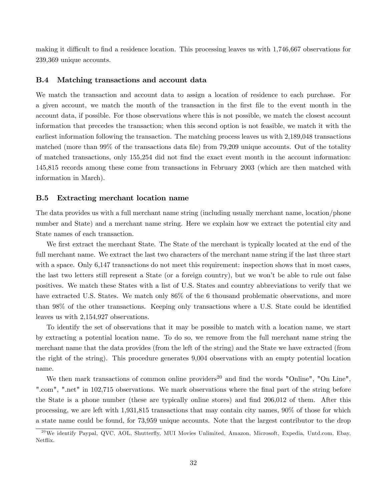making it difficult to find a residence location. This processing leaves us with  $1,746,667$  observations for 239,369 unique accounts.

#### B.4 Matching transactions and account data

We match the transaction and account data to assign a location of residence to each purchase. For a given account, we match the month of the transaction in the first file to the event month in the account data, if possible. For those observations where this is not possible, we match the closest account information that precedes the transaction; when this second option is not feasible, we match it with the earliest information following the transaction. The matching process leaves us with 2,189,048 transactions matched (more than 99% of the transactions data file) from 79,209 unique accounts. Out of the totality of matched transactions, only 155,254 did not Önd the exact event month in the account information: 145,815 records among these come from transactions in February 2003 (which are then matched with information in March).

#### B.5 Extracting merchant location name

The data provides us with a full merchant name string (including usually merchant name, location/phone number and State) and a merchant name string. Here we explain how we extract the potential city and State names of each transaction.

We first extract the merchant State. The State of the merchant is typically located at the end of the full merchant name. We extract the last two characters of the merchant name string if the last three start with a space. Only 6,147 transactions do not meet this requirement: inspection shows that in most cases, the last two letters still represent a State (or a foreign country), but we wonít be able to rule out false positives. We match these States with a list of U.S. States and country abbreviations to verify that we have extracted U.S. States. We match only  $86\%$  of the 6 thousand problematic observations, and more than 98% of the other transactions. Keeping only transactions where a U.S. State could be identified leaves us with 2,154,927 observations.

To identify the set of observations that it may be possible to match with a location name, we start by extracting a potential location name. To do so, we remove from the full merchant name string the merchant name that the data provides (from the left of the string) and the State we have extracted (from the right of the string). This procedure generates 9,004 observations with an empty potential location name.

We then mark transactions of common online providers<sup>20</sup> and find the words "Online", "On Line", ".com", ".net" in 102,715 observations. We mark observations where the final part of the string before the State is a phone number (these are typically online stores) and find 206,012 of them. After this processing, we are left with 1,931,815 transactions that may contain city names, 90% of those for which a state name could be found, for 73,959 unique accounts. Note that the largest contributor to the drop

 $^{20}$ We identify Paypal, QVC, AOL, Shutterfly, MUI Movies Unlimited, Amazon, Microsoft, Expedia, Untd.com, Ebay, Netflix.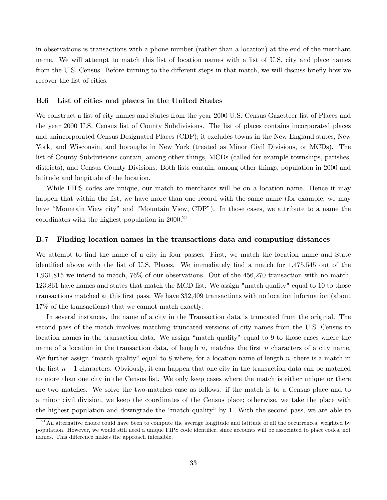in observations is transactions with a phone number (rather than a location) at the end of the merchant name. We will attempt to match this list of location names with a list of U.S. city and place names from the U.S. Census. Before turning to the different steps in that match, we will discuss briefly how we recover the list of cities.

### B.6 List of cities and places in the United States

We construct a list of city names and States from the year 2000 U.S. Census Gazetteer list of Places and the year 2000 U.S. Census list of County Subdivisions. The list of places contains incorporated places and unincorporated Census Designated Places (CDP); it excludes towns in the New England states, New York, and Wisconsin, and boroughs in New York (treated as Minor Civil Divisions, or MCDs). The list of County Subdivisions contain, among other things, MCDs (called for example townships, parishes, districts), and Census County Divisions. Both lists contain, among other things, population in 2000 and latitude and longitude of the location.

While FIPS codes are unique, our match to merchants will be on a location name. Hence it may happen that within the list, we have more than one record with the same name (for example, we may have "Mountain View city" and "Mountain View, CDP"). In those cases, we attribute to a name the coordinates with the highest population in  $2000^{21}$ 

### B.7 Finding location names in the transactions data and computing distances

We attempt to find the name of a city in four passes. First, we match the location name and State identified above with the list of U.S. Places. We immediately find a match for 1,475,545 out of the 1,931,815 we intend to match, 76% of our observations. Out of the 456,270 transaction with no match, 123,861 have names and states that match the MCD list. We assign "match quality" equal to 10 to those transactions matched at this Örst pass. We have 332,409 transactions with no location information (about 17% of the transactions) that we cannot match exactly.

In several instances, the name of a city in the Transaction data is truncated from the original. The second pass of the match involves matching truncated versions of city names from the U.S. Census to location names in the transaction data. We assign "match quality" equal to 9 to those cases where the name of a location in the transaction data, of length  $n$ , matches the first  $n$  characters of a city name. We further assign "match quality" equal to 8 where, for a location name of length n, there is a match in the first  $n-1$  characters. Obviously, it can happen that one city in the transaction data can be matched to more than one city in the Census list. We only keep cases where the match is either unique or there are two matches. We solve the two-matches case as follows: if the match is to a Census place and to a minor civil division, we keep the coordinates of the Census place; otherwise, we take the place with the highest population and downgrade the "match quality" by 1. With the second pass, we are able to

 $21$ An alternative choice could have been to compute the average longitude and latitude of all the occurrences, weighted by population. However, we would still need a unique FIPS code identifier, since accounts will be associated to place codes, not names. This difference makes the approach infeasible.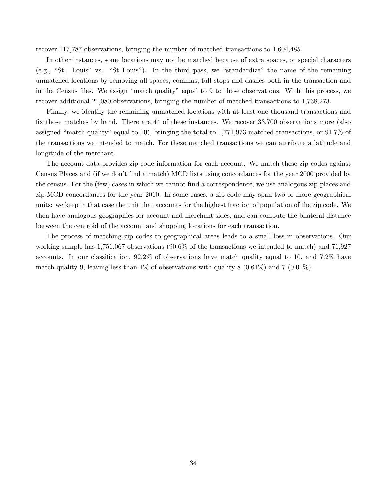recover 117,787 observations, bringing the number of matched transactions to 1,604,485.

In other instances, some locations may not be matched because of extra spaces, or special characters  $(e.g., "St. Louis" vs. "St Louis").$  In the third pass, we "standardize" the name of the remaining unmatched locations by removing all spaces, commas, full stops and dashes both in the transaction and in the Census files. We assign "match quality" equal to 9 to these observations. With this process, we recover additional 21,080 observations, bringing the number of matched transactions to 1,738,273.

Finally, we identify the remaining unmatched locations with at least one thousand transactions and fix those matches by hand. There are 44 of these instances. We recover 33,700 observations more (also assigned "match quality" equal to 10), bringing the total to 1,771,973 matched transactions, or  $91.7\%$  of the transactions we intended to match. For these matched transactions we can attribute a latitude and longitude of the merchant.

The account data provides zip code information for each account. We match these zip codes against Census Places and (if we don't find a match) MCD lists using concordances for the year 2000 provided by the census. For the (few) cases in which we cannot find a correspondence, we use analogous zip-places and zip-MCD concordances for the year 2010. In some cases, a zip code may span two or more geographical units: we keep in that case the unit that accounts for the highest fraction of population of the zip code. We then have analogous geographies for account and merchant sides, and can compute the bilateral distance between the centroid of the account and shopping locations for each transaction.

The process of matching zip codes to geographical areas leads to a small loss in observations. Our working sample has 1,751,067 observations (90.6% of the transactions we intended to match) and 71,927 accounts. In our classification,  $92.2\%$  of observations have match quality equal to 10, and 7.2% have match quality 9, leaving less than 1% of observations with quality 8  $(0.61\%)$  and 7  $(0.01\%)$ .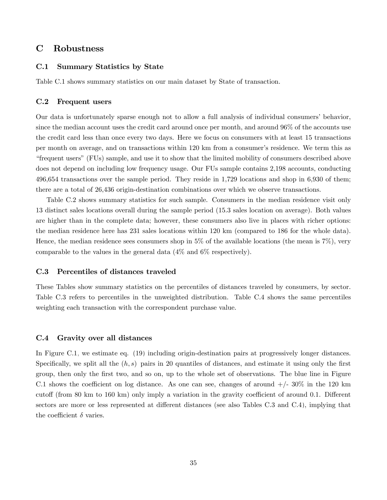# C Robustness

### C.1 Summary Statistics by State

Table [C.1](#page-36-0) shows summary statistics on our main dataset by State of transaction.

#### C.2 Frequent users

Our data is unfortunately sparse enough not to allow a full analysis of individual consumers' behavior, since the median account uses the credit card around once per month, and around 96% of the accounts use the credit card less than once every two days. Here we focus on consumers with at least 15 transactions per month on average, and on transactions within 120 km from a consumerís residence. We term this as ìfrequent usersî(FUs) sample, and use it to show that the limited mobility of consumers described above does not depend on including low frequency usage. Our FUs sample contains 2,198 accounts, conducting 496,654 transactions over the sample period. They reside in 1,729 locations and shop in 6,930 of them; there are a total of 26,436 origin-destination combinations over which we observe transactions.

Table [C.2](#page-37-0) shows summary statistics for such sample. Consumers in the median residence visit only 13 distinct sales locations overall during the sample period (15.3 sales location on average). Both values are higher than in the complete data; however, these consumers also live in places with richer options: the median residence here has 231 sales locations within 120 km (compared to 186 for the whole data). Hence, the median residence sees consumers shop in 5% of the available locations (the mean is 7%), very comparable to the values in the general data (4% and 6% respectively).

#### C.3 Percentiles of distances traveled

These Tables show summary statistics on the percentiles of distances traveled by consumers, by sector. Table [C.3](#page-38-0) refers to percentiles in the unweighted distribution. Table [C.4](#page-39-0) shows the same percentiles weighting each transaction with the correspondent purchase value.

#### C.4 Gravity over all distances

In Figure [C.1,](#page-37-1) we estimate eq. [\(19\)](#page-16-0) including origin-destination pairs at progressively longer distances. Specifically, we split all the  $(h, s)$  pairs in 20 quantiles of distances, and estimate it using only the first group, then only the first two, and so on, up to the whole set of observations. The blue line in Figure [C.1](#page-37-1) shows the coefficient on log distance. As one can see, changes of around  $+/- 30\%$  in the 120 km cutoff (from 80 km to 160 km) only imply a variation in the gravity coefficient of around 0.1. Different sectors are more or less represented at different distances (see also Tables [C.3](#page-38-0) and [C.4\)](#page-39-0), implying that the coefficient  $\delta$  varies.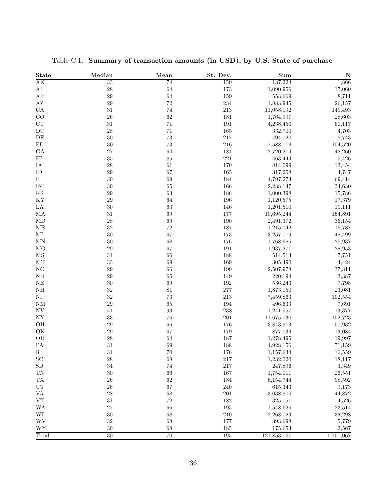| <b>State</b>             | Median           | Mean              | St. Dev. | $\overline{\mathbf{Sum}}$ | $\overline{\mathbf{N}}$ |
|--------------------------|------------------|-------------------|----------|---------------------------|-------------------------|
| $\overline{\rm AK}$      | $\overline{33}$  | $\overline{74}$   | 150      | 137,224                   | 1,866                   |
| $\mathbf{AL}$            | 28               | 64                | $173\,$  | 1,090,956                 | 17,060                  |
| $\rm{AR}$                | $\sqrt{29}$      | 64                | 159      | 553,669                   | 8,711                   |
| $\mathbf{A}\mathbf{Z}$   | $\,29$           | $72\,$            | 234      | 1,883,945                 | 26,157                  |
| ${\rm CA}$               | $31\,$           | $74\,$            | $213\,$  | 11,058,192                | 149,493                 |
| CO                       | 26               | 62                | 181      | 1,764,997                 | 28,603                  |
| ${\rm CT}$               | $31\,$           | $71\,$            | $191\,$  | 4,238,450                 | 60,117                  |
| DC                       | $\sqrt{28}$      | $71\,$            | 165      | 332,700                   | 4,703                   |
| $\rm{DE}$                | $30\,$           | 73                | 217      | 494,720                   | 6,743                   |
| ${\rm FL}$               | $30\,$           | 73                | 216      | 7,588,112                 | 104,520                 |
| GA                       | 27               | 64                | 184      | 2,720,214                 | 42,260                  |
| H <sub>I</sub>           | $35\,$           | 85                | $221\,$  | 463,444                   | 5,426                   |
| IA                       | $\sqrt{28}$      | $61\,$            | 170      | 814,099                   | 13,454                  |
| ID                       | $\,29$           | 67                | 165      | 317,258                   | 4,747                   |
| ${\rm IL}$               | $30\,$           | 69                | 184      | 4,797,273                 | 69,414                  |
| IN                       | $30\,$           | 65                | 166      | 2,238,147                 | 34,630                  |
| $_{\rm KS}$              | $\,29$           | 63                | 186      | 1,000,398                 | 15,786                  |
| KY                       | $\,29$           | 64                | 196      | 1,120,575                 | 17,379                  |
| LA                       | $30\,$           | 63                | 146      | 1,201,510                 | 19,111                  |
| МA                       | $31\,$           | 69                | 177      | 10,695,244                | 154,891                 |
| MD                       | $\sqrt{28}$      | 69                | 190      | 2,491,372                 | 36,154                  |
| ME                       | $32\,$           | $72\,$            | 187      | 1,215,042                 | 16,787                  |
| MI                       | $30\,$           | 67                | 173      | 3,257,719                 | 48,499                  |
| MN                       | $30\,$           | 68                | 176      | 1,768,685                 | 25,937                  |
| MO                       | $\,29$           | 67                | 191      | 1,937,271                 | 28,953                  |
| $\overline{\rm MS}$      | $31\,$           | 66                | 188      | 514,513                   | 7,751                   |
| $\rm{MT}$                | 33               | 69                | 169      | 305,490                   | 4,424                   |
| $\rm NC$                 | $\,29$           | 66                | 190      | 2,507,978                 | 37,811                  |
| $\rm ND$                 | $\,29$           | 65                | 149      | 220,194                   | 3,387                   |
|                          | $30\,$           | 69                |          |                           |                         |
| NE                       |                  |                   | 192      | 536,243                   | 7,798                   |
| NH                       | $32\,$<br>$32\,$ | $81\,$<br>73      | 277      | 1,873,150                 | 23,081                  |
| NJ                       |                  |                   | 213      | 7,459,863                 | 102,554                 |
| NM                       | $\,29$           | 65                | 194      | 496,633                   | 7,691                   |
| $\ensuremath{\text{NV}}$ | 41               | $\boldsymbol{93}$ | 238      | 1,241,557                 | 13,377                  |
| ${\rm NY}$               | $33\,$           | 76                | $201\,$  | 11,675,730                | 152,723                 |
| OH                       | $\,29$           | 66                | 176      | 3,843,913                 | 57,932                  |
| OK                       | $\,29$           | 67                | 179      | 877,034                   | 13,084                  |
| <b>OR</b>                | $\sqrt{28}$      | 64                | 187      | 1,278,495                 | 19,997                  |
| ${\rm PA}$               | 31               | 69                | 188      | 4,928,156                 | 71,159                  |
| $\rm RI$                 | $31\,$           | $70\,$            | 176      | 1,157,634                 | 16,559                  |
| $\operatorname{SC}$      | $\sqrt{28}$      | 68                | 217      | 1,232,020                 | 18,117                  |
| ${\rm SD}$               | $34\,$           | $74\,$            | 217      | 247,896                   | 3,349                   |
| $\mathcal{T}\mathcal{N}$ | $30\,$           | 66                | 167      | 1,754,011                 | 26,551                  |
| ${\rm T}{\rm X}$         | ${\bf 26}$       | 62                | 184      | 6,154,744                 | 98,592                  |
| ${\rm UT}$               | ${\bf 26}$       | 67                | 240      | 615,343                   | 9,173                   |
| $\mathbf{V}\mathbf{A}$   | $\sqrt{28}$      | 68                | $201\,$  | 3,038,906                 | 44,872                  |
| ${\rm VT}$               | $31\,$           | $72\,$            | 182      | 325,751                   | 4,526                   |
| <b>WA</b>                | $27\,$           | 66                | $195\,$  | 1,548,626                 | 23,514                  |
| $\rm WI$                 | $30\,$           | 68                | $210\,$  | 2,268,723                 | 33,298                  |
| $\mathbf{W}\mathbf{V}$   | $32\,$           | 68                | 177      | 393,698                   | 5,779                   |
| ${\hbox{WY}}$            | $30\,$           | 68                | 185      | 175,653                   | 2,567                   |
| Total                    | 30               | $\overline{70}$   | 195      | 121,853,167               | 1,751,067               |

<span id="page-36-0"></span>Table C.1: Summary of transaction amounts (in USD), by U.S. State of purchase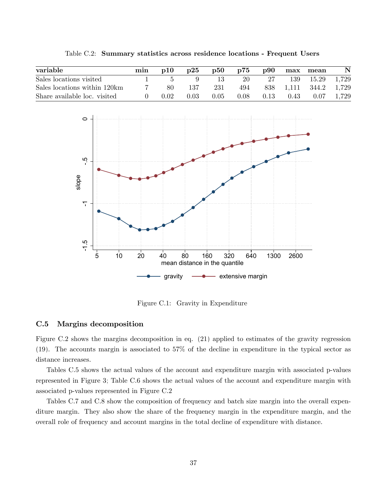| variable                     | min | p10  | $\mathbf{D}25$ | $\mathbf{p50}$ | p75  | $\bf p90$ |           | max mean | $\mathbf N$ |
|------------------------------|-----|------|----------------|----------------|------|-----------|-----------|----------|-------------|
| Sales locations visited      |     |      |                |                | 20   | -27       | 139       | 15.29    | 1,729       |
| Sales locations within 120km |     | 80   | 137            | 231            | 494  |           | 838 1,111 | - 344.2  | 1,729       |
| Share available loc. visited |     | 0.02 | 0.03           | 0.05           | 0.08 | 0.13      | 0.43      | 0.07     | 1,729       |

<span id="page-37-0"></span>Table C.2: Summary statistics across residence locations - Frequent Users



<span id="page-37-1"></span>Figure C.1: Gravity in Expenditure

### C.5 Margins decomposition

Figure [C.2](#page-42-0) shows the margins decomposition in eq. [\(21\)](#page-16-1) applied to estimates of the gravity regression [\(19\)](#page-16-0). The accounts margin is associated to 57% of the decline in expenditure in the typical sector as distance increases.

Tables [C.5](#page-40-0) shows the actual values of the account and expenditure margin with associated p-values represented in Figure [3;](#page-19-1) Table [C.6](#page-40-1) shows the actual values of the account and expenditure margin with associated p-values represented in Figure [C.2](#page-42-0)

Tables [C.7](#page-41-0) and [C.8](#page-41-1) show the composition of frequency and batch size margin into the overall expenditure margin. They also show the share of the frequency margin in the expenditure margin, and the overall role of frequency and account margins in the total decline of expenditure with distance.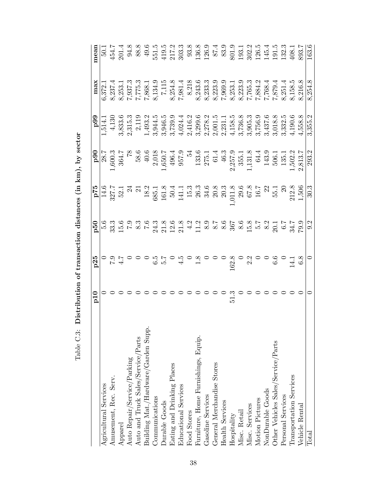<span id="page-38-0"></span>

|                                     | $_{\rm{p10}}$ | p25                                                                                                                             | $_{\rm{p50}}$                                                                     |                                                                                                                                                                                                                                                                                                               |                                                                                                                                                                                                                                                                                           | 66d                                                                                                    | max                                           | mear           |
|-------------------------------------|---------------|---------------------------------------------------------------------------------------------------------------------------------|-----------------------------------------------------------------------------------|---------------------------------------------------------------------------------------------------------------------------------------------------------------------------------------------------------------------------------------------------------------------------------------------------------------|-------------------------------------------------------------------------------------------------------------------------------------------------------------------------------------------------------------------------------------------------------------------------------------------|--------------------------------------------------------------------------------------------------------|-----------------------------------------------|----------------|
| Agricultural Services               |               |                                                                                                                                 |                                                                                   |                                                                                                                                                                                                                                                                                                               |                                                                                                                                                                                                                                                                                           | 1,514.1                                                                                                | 6,372.1                                       | 50.1           |
| Amusement, Rec. Serv.               |               |                                                                                                                                 | $\frac{6}{5}$<br>$\frac{3}{3}$<br>$\frac{3}{5}$<br>$\frac{6}{5}$<br>$\frac{3}{5}$ |                                                                                                                                                                                                                                                                                                               | $\frac{1}{1,800}$<br>1,600.3                                                                                                                                                                                                                                                              | 4,130                                                                                                  |                                               | 454.7          |
| Apparel                             |               | 0: 4<br>7: 4<br>7: 4                                                                                                            |                                                                                   |                                                                                                                                                                                                                                                                                                               |                                                                                                                                                                                                                                                                                           |                                                                                                        | 8,253.1                                       | 201.4          |
| Auto Repair/Service/Parking         |               |                                                                                                                                 |                                                                                   |                                                                                                                                                                                                                                                                                                               |                                                                                                                                                                                                                                                                                           | $3,833.6$<br>$2,315.3$                                                                                 |                                               | 94.8           |
| Auto and Truck Sales/Service/Parts  |               |                                                                                                                                 |                                                                                   | $\frac{P^{75}}{14.6}$<br>327.7<br>52.1<br>52.1<br>34                                                                                                                                                                                                                                                          | $\begin{array}{c} 364.7 \\ 78 \\ 87 \\ 1.84 \\ \end{array}$                                                                                                                                                                                                                               | $\begin{array}{c} 2,119 \\ 1,493.2 \end{array}$                                                        | $\frac{7}{1}$ , 937.3<br>7, 775.3<br>7, 868.1 | 88.8           |
| Building Mat./Hardware/Garden Supp  |               | 00007                                                                                                                           |                                                                                   | $\begin{array}{r} 18.3 \\ 18.5 \\ 16.7 \\ 18.8 \\ 19.7 \\ 19.8 \\ 19.7 \\ 19.8 \\ 10.3 \\ 10.3 \\ 11.3 \\ 13.3 \\ 14.5 \\ 15.3 \\ 16.7 \\ 17.5 \\ 18.5 \\ 17.5 \\ 1,50 \\ 1,50 \\ 1,50 \\ 1,50 \\ 1,50 \\ 1,50 \\ 1,50 \\ 1,50 \\ 1,50 \\ 1,50 \\ 1,50 \\ 1,50 \\ 1,50 \\ 1,50 \\ 1,50 \\ 1,50 \\ 1,50 \\ 1,$ |                                                                                                                                                                                                                                                                                           |                                                                                                        |                                               | 49.6           |
| Communications                      |               |                                                                                                                                 |                                                                                   |                                                                                                                                                                                                                                                                                                               |                                                                                                                                                                                                                                                                                           |                                                                                                        |                                               | 551.5          |
| Durable Goods                       |               |                                                                                                                                 |                                                                                   |                                                                                                                                                                                                                                                                                                               |                                                                                                                                                                                                                                                                                           |                                                                                                        |                                               | $419.5$        |
| Eating and Drinking Places          |               |                                                                                                                                 |                                                                                   |                                                                                                                                                                                                                                                                                                               | $\begin{array}{r} 2,018 \\ 1,650.7 \\ 496.4 \\ 957.9 \\ 1,33.6 \\ 2,75.1 \\ 61.4 \\ 61.3 \\ 2,857.9 \\ 355.1 \\ 1,131.8 \\ 64.4 \\ 1,131.8 \\ 1,131.8 \\ 1,131.8 \\ 1,131.8 \\ 1,131.8 \\ 1,131.8 \\ 1,131.8 \\ 1,131.8 \\ 1,131.8 \\ 1,131.8 \\ 1,131.8 \\ 1,131.8 \\ 1,131.8 \\ 1,131.$ | $\begin{array}{c} 3\, , 944.5 \\ 3\, , 946.5 \\ 3\, , 739.0 \\ 4\, , 024.4 \\ 2\, , 416.2 \end{array}$ | 8,134.9<br>7,115<br>8,254.8<br>7,981.4        | 217.2<br>303.3 |
| Educational Services                |               | $\frac{15}{4}$ 0 2 0 0                                                                                                          |                                                                                   |                                                                                                                                                                                                                                                                                                               |                                                                                                                                                                                                                                                                                           |                                                                                                        |                                               |                |
| Food Stores                         |               |                                                                                                                                 |                                                                                   |                                                                                                                                                                                                                                                                                                               |                                                                                                                                                                                                                                                                                           |                                                                                                        | 8,218                                         | 93.8           |
| Furniture, Home Furnishings, Equip. |               |                                                                                                                                 |                                                                                   |                                                                                                                                                                                                                                                                                                               |                                                                                                                                                                                                                                                                                           |                                                                                                        |                                               | 136.8          |
| Gasoline Services                   |               |                                                                                                                                 |                                                                                   |                                                                                                                                                                                                                                                                                                               |                                                                                                                                                                                                                                                                                           | $\begin{array}{c} 3,299.6 \\ 2,278.2 \\ 2,001.5 \\ 2,231.1 \end{array}$                                |                                               | 126.9          |
| General Merchandise Stores          |               |                                                                                                                                 |                                                                                   |                                                                                                                                                                                                                                                                                                               |                                                                                                                                                                                                                                                                                           |                                                                                                        |                                               | 87.4<br>83.9   |
| <b>Health Services</b>              |               |                                                                                                                                 |                                                                                   |                                                                                                                                                                                                                                                                                                               |                                                                                                                                                                                                                                                                                           |                                                                                                        |                                               |                |
| Hospitality                         | 51.3          |                                                                                                                                 |                                                                                   |                                                                                                                                                                                                                                                                                                               |                                                                                                                                                                                                                                                                                           | 4,158.5                                                                                                |                                               | 801.9          |
| Misc. Retail                        |               |                                                                                                                                 |                                                                                   |                                                                                                                                                                                                                                                                                                               |                                                                                                                                                                                                                                                                                           |                                                                                                        |                                               | 193.1          |
| Misc. Services                      |               | $\begin{array}{c} 0 & 0 & 0 & 0 & 0 & 0 \\ 0 & 0 & 0 & 0 & 0 & 0 \\ 0 & 0 & 0 & 0 & 0 & 0 \\ 0 & 0 & 0 & 0 & 0 & 0 \end{array}$ |                                                                                   |                                                                                                                                                                                                                                                                                                               |                                                                                                                                                                                                                                                                                           | $\begin{array}{c} 3\, , 736.8 \\ 3\, , 905.3 \\ 3\, , 756.9 \\ 3\, , 437.6 \\ 3\, , 018.8 \end{array}$ |                                               | 302.2          |
| Motion Pictures                     |               |                                                                                                                                 |                                                                                   |                                                                                                                                                                                                                                                                                                               |                                                                                                                                                                                                                                                                                           |                                                                                                        |                                               | 126.5          |
| NonDurable Goods                    |               |                                                                                                                                 |                                                                                   |                                                                                                                                                                                                                                                                                                               |                                                                                                                                                                                                                                                                                           |                                                                                                        | 7,768.4                                       | 145.4          |
| Other Vehicles Sales/Service/Parts  |               |                                                                                                                                 |                                                                                   |                                                                                                                                                                                                                                                                                                               | 506.1                                                                                                                                                                                                                                                                                     |                                                                                                        | 1,879.4                                       | 191.5          |
| Personal Services                   |               |                                                                                                                                 |                                                                                   |                                                                                                                                                                                                                                                                                                               | $\begin{array}{c} 135.1 \\ 1,502.2 \\ 2,813.7 \end{array}$                                                                                                                                                                                                                                | $\begin{array}{c} 3,332.5 \\ 4,190.6 \\ 4,558.8 \end{array}$                                           | $8,251.4$<br>$8,158.5$<br>$8,216.8$           | 132.3          |
| Transportation Services             |               | $\begin{array}{c} 14.1 \\ 6.8 \end{array}$                                                                                      |                                                                                   |                                                                                                                                                                                                                                                                                                               |                                                                                                                                                                                                                                                                                           |                                                                                                        |                                               | 408.1          |
| Vehicle Rental                      |               |                                                                                                                                 |                                                                                   |                                                                                                                                                                                                                                                                                                               |                                                                                                                                                                                                                                                                                           |                                                                                                        |                                               | 893.7          |
| Total                               |               |                                                                                                                                 | $\sqrt{9.2}$                                                                      | $\frac{1}{30.3}$                                                                                                                                                                                                                                                                                              | 293.2                                                                                                                                                                                                                                                                                     | 3,355.2                                                                                                | 8,254.8                                       | 163.6          |

 ${\rm Table}~{\rm C}.3$  : Distribution of transaction distances (in km), by sector Table C.3: Distribution of transaction distances (in km), by sector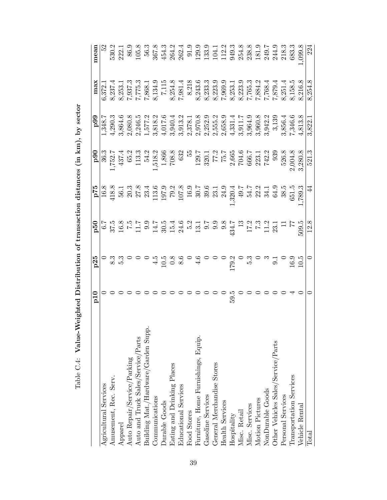| )<br> }<br> }<br>֞֘                                                      |
|--------------------------------------------------------------------------|
| rribution of transaction distances in kml by sector<br>TACTES OF THE ALL |
|                                                                          |
| $\ddot{\cdot}$ $\ddot{\cdot}$<br>$\frac{1}{2}$                           |
| 医心包 医心包的<br>,<br>;                                                       |
| ;<br>;<br>て<br>- F<br>E<br>$\frac{2}{3}$                                 |

<span id="page-39-0"></span>

|                                     | $_{\rm{p10}}$ |                    | $P2$ d                                                                                                                                                                                                                                                                                                  |                                                                                                                                                                                                                                                                                                               | 66d                                                                                                                                                                                                | max                                                                                                                                                                                                                                                          | mean                  |
|-------------------------------------|---------------|--------------------|---------------------------------------------------------------------------------------------------------------------------------------------------------------------------------------------------------------------------------------------------------------------------------------------------------|---------------------------------------------------------------------------------------------------------------------------------------------------------------------------------------------------------------------------------------------------------------------------------------------------------------|----------------------------------------------------------------------------------------------------------------------------------------------------------------------------------------------------|--------------------------------------------------------------------------------------------------------------------------------------------------------------------------------------------------------------------------------------------------------------|-----------------------|
| Agricultural Services               |               | $\frac{p25}{0}$    |                                                                                                                                                                                                                                                                                                         | $\begin{array}{r} \textbf{p90} \\ \textbf{p90} \\ 1,752.7 \\ 437.4 \\ 13.3 \\ 1518.2 \\ 1,518.2 \\ 1,518.2 \\ 708.8 \\ 632 \\ 71.2 \\ 72.7 \\ 75.7 \\ 76.5 \\ 76.5 \\ 76.6 \\ 76.6 \\ 76.7 \\ 74.2.2 \\ 742.2 \\ 742.2 \\ 742.2 \\ 742.2 \\ 742.2 \\ 742.2 \\ 742.2 \\ 742.2 \\ 742.2 \\ 742.2 \\ 742.2 \\ 7$ | 1,348.7                                                                                                                                                                                            | 6,372.1                                                                                                                                                                                                                                                      |                       |
| Amusement, Rec. Serv.               |               |                    |                                                                                                                                                                                                                                                                                                         |                                                                                                                                                                                                                                                                                                               | 4,290.3                                                                                                                                                                                            | 8,237.4                                                                                                                                                                                                                                                      | 530.2<br>222.1        |
| Apparel                             |               | တ္တံ ၁ ၁ ၁<br>ယ. က |                                                                                                                                                                                                                                                                                                         |                                                                                                                                                                                                                                                                                                               | 3,864.6                                                                                                                                                                                            |                                                                                                                                                                                                                                                              |                       |
| Auto Repair/Service/Parking         |               |                    |                                                                                                                                                                                                                                                                                                         |                                                                                                                                                                                                                                                                                                               |                                                                                                                                                                                                    |                                                                                                                                                                                                                                                              |                       |
| Auto and Truck Sales/Service/Parts  |               |                    |                                                                                                                                                                                                                                                                                                         |                                                                                                                                                                                                                                                                                                               |                                                                                                                                                                                                    |                                                                                                                                                                                                                                                              |                       |
| Building Mat./Hardware/Garden Supp. |               |                    |                                                                                                                                                                                                                                                                                                         |                                                                                                                                                                                                                                                                                                               | $\begin{array}{c} 2,080.8 \\ 2,246.5 \\ 1,577.2 \\ 3,818.2 \end{array}$                                                                                                                            | $\begin{array}{l} 8.253.1,\\ 7.937.3,\\ 7.957.5,\\ 7.868.1,\\ 7.115,\\ 8.254.8,\\ 8.243.3,\\ 2.333.3,\\ 2.333.3,\\ 2.333.3,\\ 2.333.3,\\ 2.333.3,\\ 2.333.3,\\ 2.333.3,\\ 2.333.3,\\ 2.333.3,\\ 2.333.3,\\ 2.333.3,\\ 2.333.3,\\ 2.333.3,\\ 2.333.3,\\ 2.33$ |                       |
| Communications                      |               |                    |                                                                                                                                                                                                                                                                                                         |                                                                                                                                                                                                                                                                                                               |                                                                                                                                                                                                    |                                                                                                                                                                                                                                                              |                       |
| Durable Goods                       |               |                    |                                                                                                                                                                                                                                                                                                         |                                                                                                                                                                                                                                                                                                               |                                                                                                                                                                                                    |                                                                                                                                                                                                                                                              |                       |
| Eating and Drinking Places          |               |                    |                                                                                                                                                                                                                                                                                                         |                                                                                                                                                                                                                                                                                                               |                                                                                                                                                                                                    |                                                                                                                                                                                                                                                              |                       |
| Educational Services                |               |                    |                                                                                                                                                                                                                                                                                                         |                                                                                                                                                                                                                                                                                                               |                                                                                                                                                                                                    |                                                                                                                                                                                                                                                              |                       |
| Food Stores                         |               |                    |                                                                                                                                                                                                                                                                                                         |                                                                                                                                                                                                                                                                                                               |                                                                                                                                                                                                    |                                                                                                                                                                                                                                                              |                       |
| Furniture, Home Furnishings, Equip. |               |                    |                                                                                                                                                                                                                                                                                                         |                                                                                                                                                                                                                                                                                                               |                                                                                                                                                                                                    |                                                                                                                                                                                                                                                              |                       |
| Gasoline Services                   |               |                    |                                                                                                                                                                                                                                                                                                         |                                                                                                                                                                                                                                                                                                               |                                                                                                                                                                                                    |                                                                                                                                                                                                                                                              |                       |
| General Merchandise Stores          |               |                    |                                                                                                                                                                                                                                                                                                         |                                                                                                                                                                                                                                                                                                               |                                                                                                                                                                                                    |                                                                                                                                                                                                                                                              |                       |
| <b>Health Services</b>              |               |                    |                                                                                                                                                                                                                                                                                                         |                                                                                                                                                                                                                                                                                                               |                                                                                                                                                                                                    |                                                                                                                                                                                                                                                              |                       |
| Hospitality                         | 59.5          |                    |                                                                                                                                                                                                                                                                                                         |                                                                                                                                                                                                                                                                                                               | $\begin{array}{l} 4,017.6 \\ 4,940.4 \\ 3,940.3 \\ 2,978.1 \\ 3,978.2 \\ 2,970.8 \\ 2,970.8 \\ 2,955.2 \\ 3,331.4 \\ 4,331.1,7 \\ 3,964.2 \\ 3,960.8 \\ 3,964.2 \\ 3,966.6 \\ 7,346.6 \end{array}$ |                                                                                                                                                                                                                                                              |                       |
| Misc. Retail                        |               |                    |                                                                                                                                                                                                                                                                                                         |                                                                                                                                                                                                                                                                                                               |                                                                                                                                                                                                    |                                                                                                                                                                                                                                                              |                       |
| Misc. Services                      |               |                    |                                                                                                                                                                                                                                                                                                         |                                                                                                                                                                                                                                                                                                               |                                                                                                                                                                                                    |                                                                                                                                                                                                                                                              |                       |
| Motion Pictures                     |               |                    |                                                                                                                                                                                                                                                                                                         |                                                                                                                                                                                                                                                                                                               |                                                                                                                                                                                                    |                                                                                                                                                                                                                                                              |                       |
| NonDurable Goods                    |               |                    |                                                                                                                                                                                                                                                                                                         |                                                                                                                                                                                                                                                                                                               |                                                                                                                                                                                                    |                                                                                                                                                                                                                                                              |                       |
| Other Vehicles Sales/Service/Parts  |               |                    |                                                                                                                                                                                                                                                                                                         | 939                                                                                                                                                                                                                                                                                                           |                                                                                                                                                                                                    |                                                                                                                                                                                                                                                              |                       |
| Personal Services                   |               |                    |                                                                                                                                                                                                                                                                                                         | $\frac{526.8}{2,004.8}$<br>3,280.8                                                                                                                                                                                                                                                                            |                                                                                                                                                                                                    |                                                                                                                                                                                                                                                              |                       |
| Transportation Services             |               | 16.9               |                                                                                                                                                                                                                                                                                                         |                                                                                                                                                                                                                                                                                                               |                                                                                                                                                                                                    |                                                                                                                                                                                                                                                              |                       |
| Vehicle Rental                      |               | 10.5               | $\begin{bmatrix} 6.7 \\ 6.78 \\ 8.79 \\ 1.1 & 2.9 \\ 1.1 & 2.9 \\ 1.1 & 2.9 \\ 1.1 & 2.9 \\ 1.1 & 2.9 \\ 1.1 & 2.9 \\ 1.1 & 2.9 \\ 1.1 & 2.9 \\ 1.1 & 2.9 \\ 1.1 & 2.9 \\ 1.1 & 2.9 \\ 1.1 & 2.9 \\ 1.1 & 2.9 \\ 1.1 & 2.9 \\ 1.1 & 2.9 \\ 1.1 & 2.9 \\ 1.1 & 2.9 \\ 1.1 & 2.9 \\ 1.1 & 2.9 \\ 1.1 & 2$ |                                                                                                                                                                                                                                                                                                               | 4,813.8                                                                                                                                                                                            |                                                                                                                                                                                                                                                              | $\frac{1,099.8}{224}$ |
| Total                               |               |                    |                                                                                                                                                                                                                                                                                                         | 521.3                                                                                                                                                                                                                                                                                                         | 3,822.                                                                                                                                                                                             | $8,254.\overline{8}$                                                                                                                                                                                                                                         |                       |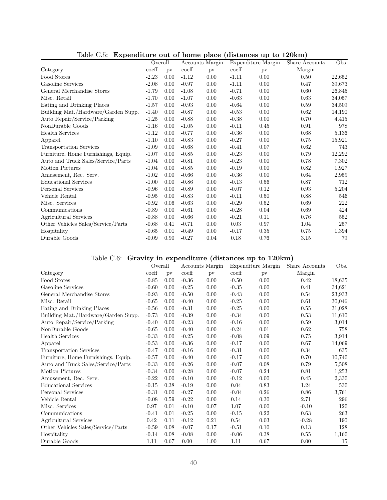| л,                                  |                  |      |                  |                 |                  |                    |                |        |
|-------------------------------------|------------------|------|------------------|-----------------|------------------|--------------------|----------------|--------|
|                                     | Overall          |      |                  | Accounts Margin |                  | Expenditure Margin | Share Accounts | Obs.   |
| Category                            | $\mathrm{coeff}$ | pv   | $\mathrm{coeff}$ | pv              | $\mathrm{coeff}$ | pv                 | Margin         |        |
| Food Stores                         | $-2.23$          | 0.00 | $-1.12$          | 0.00            | $-1.11$          | 0.00               | 0.50           | 22,652 |
| Gasoline Services                   | $-2.08$          | 0.00 | $-0.97$          | 0.00            | $-1.11$          | 0.00               | 0.47           | 39,673 |
| General Merchandise Stores          | $-1.79$          | 0.00 | $-1.08$          | 0.00            | $-0.71$          | 0.00               | 0.60           | 26,845 |
| Misc. Retail                        | $-1.70$          | 0.00 | $-1.07$          | 0.00            | $-0.63$          | 0.00               | 0.63           | 34,057 |
| Eating and Drinking Places          | $-1.57$          | 0.00 | $-0.93$          | 0.00            | $-0.64$          | 0.00               | 0.59           | 34,509 |
| Building Mat./Hardware/Garden Supp. | $-1.40$          | 0.00 | $-0.87$          | 0.00            | $-0.53$          | 0.00               | 0.62           | 14,190 |
| Auto Repair/Service/Parking         | $-1.25$          | 0.00 | $-0.88$          | 0.00            | $-0.38$          | 0.00               | 0.70           | 4,415  |
| NonDurable Goods                    | $-1.16$          | 0.00 | $-1.05$          | 0.00            | $-0.11$          | 0.45               | 0.91           | 978    |
| <b>Health Services</b>              | $-1.12$          | 0.00 | $-0.77$          | 0.00            | $-0.36$          | 0.00               | 0.68           | 5,136  |
| Apparel                             | $-1.10$          | 0.00 | $-0.83$          | 0.00            | $-0.27$          | 0.00               | 0.75           | 15,921 |
| <b>Transportation Services</b>      | $-1.09$          | 0.00 | $-0.68$          | 0.00            | $-0.41$          | 0.07               | 0.62           | 743    |
| Furniture, Home Furnishings, Equip. | $-1.07$          | 0.00 | $-0.85$          | 0.00            | $-0.23$          | 0.00               | 0.79           | 12,292 |
| Auto and Truck Sales/Service/Parts  | $-1.04$          | 0.00 | $-0.81$          | 0.00            | $-0.23$          | 0.00               | 0.78           | 7,302  |
| <b>Motion Pictures</b>              | $-1.04$          | 0.00 | $-0.85$          | 0.00            | $-0.19$          | 0.00               | 0.82           | 1,927  |
| Amusement, Rec. Serv.               | $-1.02$          | 0.00 | $-0.66$          | 0.00            | $-0.36$          | 0.00               | 0.64           | 2,959  |
| <b>Educational Services</b>         | $-1.00$          | 0.00 | $-0.86$          | 0.00            | $-0.13$          | 0.56               | 0.87           | 712    |
| Personal Services                   | $-0.96$          | 0.00 | $-0.89$          | 0.00            | $-0.07$          | 0.12               | 0.93           | 5,204  |
| Vehicle Rental                      | $-0.95$          | 0.00 | $-0.83$          | 0.00            | $-0.11$          | 0.50               | 0.88           | 546    |
| Misc. Services                      | $-0.92$          | 0.06 | $-0.63$          | 0.00            | $-0.29$          | 0.52               | 0.69           | 222    |
| Communications                      | $-0.89$          | 0.00 | $-0.61$          | 0.00            | $-0.28$          | 0.04               | 0.69           | 424    |
| Agricultural Services               | $-0.88$          | 0.00 | $-0.66$          | 0.00            | $-0.21$          | 0.11               | 0.76           | 552    |
| Other Vehicles Sales/Service/Parts  | $-0.68$          | 0.41 | $-0.71$          | 0.00            | 0.03             | 0.97               | 1.04           | 257    |
| Hospitality                         | $-0.65$          | 0.01 | $-0.49$          | 0.00            | $-0.17$          | 0.35               | 0.75           | 1,394  |
| Durable Goods                       | $-0.09$          | 0.90 | $-0.27$          | 0.04            | 0.18             | 0.76               | 3.15           | 79     |

<span id="page-40-0"></span>Table C.5: Expenditure out of home place (distances up to 120km)

# <span id="page-40-1"></span>Table C.6: Gravity in expenditure (distances up to 120km)

|                                     | Overall          |      | Accounts Margin  |      | Expenditure Margin |      | Share Accounts | Obs.   |
|-------------------------------------|------------------|------|------------------|------|--------------------|------|----------------|--------|
| Category                            | $\mathrm{coeff}$ | pv   | $\mathrm{coeff}$ | pv   | $\mathrm{coeff}$   | pv   | Margin         |        |
| Food Stores                         | $-0.85$          | 0.00 | $-0.36$          | 0.00 | $-0.50$            | 0.00 | 0.42           | 18,635 |
| Gasoline Services                   | $-0.60$          | 0.00 | $-0.25$          | 0.00 | $-0.35$            | 0.00 | 0.41           | 34,621 |
| General Merchandise Stores          | $-0.93$          | 0.00 | $-0.50$          | 0.00 | $-0.43$            | 0.00 | 0.54           | 23,933 |
| Misc. Retail                        | $-0.65$          | 0.00 | $-0.40$          | 0.00 | $-0.25$            | 0.00 | 0.61           | 30,046 |
| Eating and Drinking Places          | $-0.56$          | 0.00 | $-0.31$          | 0.00 | $-0.25$            | 0.00 | 0.55           | 31,028 |
| Building Mat./Hardware/Garden Supp. | $-0.73$          | 0.00 | $-0.39$          | 0.00 | $-0.34$            | 0.00 | 0.53           | 11,610 |
| Auto Repair/Service/Parking         | $-0.40$          | 0.00 | $-0.23$          | 0.00 | $-0.16$            | 0.00 | 0.59           | 3,014  |
| NonDurable Goods                    | $-0.65$          | 0.00 | $-0.40$          | 0.00 | $-0.24$            | 0.01 | 0.62           | 758    |
| <b>Health Services</b>              | $-0.33$          | 0.00 | $-0.25$          | 0.00 | $-0.08$            | 0.09 | 0.75           | 3,914  |
| Apparel                             | $-0.53$          | 0.00 | $-0.36$          | 0.00 | $-0.17$            | 0.00 | 0.67           | 14,069 |
| Transportation Services             | $-0.47$          | 0.00 | $-0.16$          | 0.00 | $-0.31$            | 0.00 | 0.34           | 635    |
| Furniture, Home Furnishings, Equip. | $-0.57$          | 0.00 | $-0.40$          | 0.00 | $-0.17$            | 0.00 | 0.70           | 10,740 |
| Auto and Truck Sales/Service/Parts  | $-0.33$          | 0.00 | $-0.26$          | 0.00 | $-0.07$            | 0.08 | 0.79           | 5,508  |
| Motion Pictures                     | $-0.34$          | 0.00 | $-0.28$          | 0.00 | $-0.07$            | 0.24 | 0.81           | 1,253  |
| Amusement, Rec. Serv.               | $-0.22$          | 0.00 | $-0.10$          | 0.00 | $-0.12$            | 0.00 | 0.45           | 2,330  |
| Educational Services                | $-0.15$          | 0.38 | $-0.19$          | 0.00 | 0.04               | 0.83 | 1.24           | 530    |
| Personal Services                   | $-0.31$          | 0.00 | $-0.27$          | 0.00 | $-0.04$            | 0.26 | 0.86           | 3,761  |
| Vehicle Rental                      | $-0.08$          | 0.59 | $-0.22$          | 0.00 | 0.14               | 0.30 | 2.71           | 296    |
| Misc. Services                      | 0.97             | 0.01 | $-0.10$          | 0.07 | 1.07               | 0.00 | $-0.10$        | 120    |
| Communications                      | $-0.41$          | 0.01 | $-0.25$          | 0.00 | $-0.15$            | 0.22 | 0.63           | 263    |
| Agricultural Services               | 0.42             | 0.11 | $-0.12$          | 0.21 | 0.54               | 0.03 | $-0.28$        | 190    |
| Other Vehicles Sales/Service/Parts  | $-0.59$          | 0.08 | $-0.07$          | 0.17 | $-0.51$            | 0.10 | 0.13           | 128    |
| Hospitality                         | $-0.14$          | 0.08 | $-0.08$          | 0.00 | $-0.06$            | 0.38 | 0.55           | 1,160  |
| Durable Goods                       | 1.11             | 0.67 | 0.00             | 1.00 | 1.11               | 0.67 | 0.00           | 15     |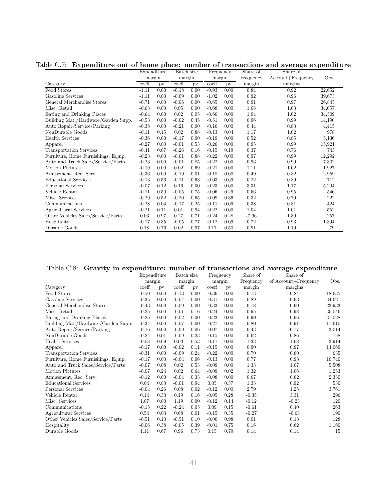<span id="page-41-0"></span>

|                                     | Expenditure               |      | Batch size                |      | Frequency                 |      | Share of  | Share of              |        |
|-------------------------------------|---------------------------|------|---------------------------|------|---------------------------|------|-----------|-----------------------|--------|
|                                     | margin                    |      | margin                    |      | margin                    |      | Frequency | $Account + Frequency$ | Obs.   |
| Category                            | $\overline{\text{coeff}}$ | pv   | $\overline{\text{coeff}}$ | pv   | $\overline{\text{coeff}}$ | pv   | margin    | margins               |        |
| Food Stores                         | $-1.11$                   | 0.00 | $-0.18$                   | 0.00 | $-0.93$                   | 0.00 | 0.84      | 0.92                  | 22,652 |
| Gasoline Services                   | $-1.11$                   | 0.00 | $-0.09$                   | 0.00 | $-1.02$                   | 0.00 | 0.92      | 0.96                  | 39.673 |
| General Merchandise Stores          | $-0.71$                   | 0.00 | $-0.06$                   | 0.00 | $-0.65$                   | 0.00 | 0.91      | 0.97                  | 26,845 |
| Misc. Retail                        | $-0.63$                   | 0.00 | 0.05                      | 0.00 | $-0.68$                   | 0.00 | 1.08      | 1.03                  | 34,057 |
| Eating and Drinking Places          | $-0.64$                   | 0.00 | 0.02                      | 0.05 | $-0.66$                   | 0.00 | 1.04      | 1.02                  | 34,509 |
| Building Mat./Hardware/Garden Supp. | $-0.53$                   | 0.00 | $-0.02$                   | 0.45 | $-0.51$                   | 0.00 | 0.96      | 0.99                  | 14,190 |
| Auto Repair/Service/Parking         | $-0.38$                   | 0.00 | $-0.21$                   | 0.00 | $-0.16$                   | 0.00 | 0.44      | 0.83                  | 4,415  |
| NonDurable Goods                    | $-0.11$                   | 0.45 | 0.02                      | 0.88 | $-0.13$                   | 0.04 | 1.17      | 1.02                  | 978    |
| <b>Health Services</b>              | $-0.36$                   | 0.00 | $-0.17$                   | 0.00 | $-0.19$                   | 0.00 | 0.52      | 0.85                  | 5,136  |
| Apparel                             | $-0.27$                   | 0.00 | $-0.01$                   | 0.53 | $-0.26$                   | 0.00 | 0.95      | 0.99                  | 15,921 |
| <b>Transportation Services</b>      | $-0.41$                   | 0.07 | $-0.26$                   | 0.16 | $-0.15$                   | 0.19 | 0.37      | 0.76                  | 743    |
| Furniture, Home Furnishings, Equip. | $-0.23$                   | 0.00 | $-0.01$                   | 0.88 | $-0.22$                   | 0.00 | 0.97      | 0.99                  | 12,292 |
| Auto and Truck Sales/Service/Parts  | $-0.23$                   | 0.00 | $-0.01$                   | 0.85 | $-0.22$                   | 0.00 | 0.96      | 0.99                  | 7,302  |
| Motion Pictures                     | $-0.19$                   | 0.00 | 0.02                      | 0.69 | $-0.21$                   | 0.00 | 1.11      | 1.02                  | 1,927  |
| Amusement, Rec. Serv.               | $-0.36$                   | 0.00 | $-0.19$                   | 0.01 | $-0.18$                   | 0.00 | 0.49      | 0.82                  | 2,959  |
| <b>Educational Services</b>         | $-0.13$                   | 0.56 | $-0.11$                   | 0.63 | $-0.03$                   | 0.69 | 0.22      | 0.89                  | 712    |
| Personal Services                   | $-0.07$                   | 0.12 | 0.16                      | 0.00 | $-0.23$                   | 0.00 | 3.31      | 1.17                  | 5,204  |
| Vehicle Rental                      | $-0.11$                   | 0.50 | $-0.05$                   | 0.75 | $-0.06$                   | 0.29 | 0.56      | 0.95                  | 546    |
| Misc. Services                      | $-0.29$                   | 0.52 | $-0.20$                   | 0.65 | $-0.09$                   | 0.36 | 0.32      | 0.79                  | 222    |
| Communications                      | $-0.28$                   | 0.04 | $-0.17$                   | 0.25 | $-0.11$                   | 0.09 | 0.38      | 0.81                  | 424    |
| Agricultural Services               | $-0.21$                   | 0.11 | 0.01                      | 0.94 | $-0.22$                   | 0.00 | 1.04      | 1.01                  | 552    |
| Other Vehicles Sales/Service/Parts  | 0.03                      | 0.97 | 0.27                      | 0.71 | $-0.24$                   | 0.28 | $-7.96$   | 1.39                  | 257    |
| Hospitality                         | $-0.17$                   | 0.35 | $-0.05$                   | 0.77 | $-0.12$                   | 0.09 | 0.72      | 0.93                  | 1,394  |
| Durable Goods                       | 0.18                      | 0.76 | 0.02                      | 0.97 | 0.17                      | 0.50 | 0.91      | 1.19                  | 79     |

Table C.7: Expenditure out of home place: number of transactions and average expenditure

<span id="page-41-1"></span>

|  | Table C.8: Gravity in expenditure: number of transactions and average expenditure |  |  |  |
|--|-----------------------------------------------------------------------------------|--|--|--|
|  |                                                                                   |  |  |  |

|                                     | Expenditure               |      | Batch size                |      | Frequency                 |      | Share of  | Share of             |        |
|-------------------------------------|---------------------------|------|---------------------------|------|---------------------------|------|-----------|----------------------|--------|
|                                     | margin                    |      | margin                    |      | margin                    |      | Frequency | of Account+Frequency | Obs.   |
| Category                            | $\overline{\text{coeff}}$ | pv   | $\overline{\text{coeff}}$ | pv   | $\overline{\text{coeff}}$ | pv   | margin    | margins              |        |
| Food Stores                         | $-0.50$                   | 0.00 | $-0.13$                   | 0.00 | $-0.36$                   | 0.00 | 0.73      | 0.84                 | 18,635 |
| Gasoline Services                   | $-0.35$                   | 0.00 | $-0.04$                   | 0.00 | $-0.31$                   | 0.00 | 0.89      | 0.93                 | 34,621 |
| General Merchandise Stores          | $-0.43$                   | 0.00 | $-0.09$                   | 0.00 | $-0.33$                   | 0.00 | 0.78      | 0.90                 | 23,933 |
| Misc. Retail                        | $-0.25$                   | 0.00 | $-0.01$                   | 0.16 | $-0.24$                   | 0.00 | 0.95      | 0.98                 | 30,046 |
| Eating and Drinking Places          | $-0.25$                   | 0.00 | $-0.02$                   | 0.00 | $-0.23$                   | 0.00 | 0.90      | 0.96                 | 31,028 |
| Building Mat./Hardware/Garden Supp. | $-0.34$                   | 0.00 | $-0.07$                   | 0.00 | $-0.27$                   | 0.00 | 0.80      | 0.91                 | 11,610 |
| Auto Repair/Service/Parking         | $-0.16$                   | 0.00 | $-0.09$                   | 0.06 | $-0.07$                   | 0.00 | 0.43      | 0.77                 | 3,014  |
| NonDurable Goods                    | $-0.24$                   | 0.01 | $-0.09$                   | 0.23 | $-0.15$                   | 0.00 | 0.62      | 0.86                 | 758    |
| <b>Health Services</b>              | $-0.08$                   | 0.09 | 0.03                      | 0.53 | $-0.11$                   | 0.00 | 1.33      | 1.08                 | 3,914  |
| Apparel                             | $-0.17$                   | 0.00 | $-0.02$                   | 0.11 | $-0.15$                   | 0.00 | 0.90      | 0.97                 | 14,069 |
| <b>Transportation Services</b>      | $-0.31$                   | 0.00 | $-0.09$                   | 0.24 | $-0.22$                   | 0.00 | 0.70      | 0.80                 | 635    |
| Furniture, Home Furnishings, Equip. | $-0.17$                   | 0.00 | $-0.04$                   | 0.06 | $-0.13$                   | 0.00 | 0.77      | 0.93                 | 10,740 |
| Auto and Truck Sales/Service/Parts  | $-0.07$                   | 0.08 | 0.02                      | 0.53 | $-0.09$                   | 0.00 | 1.33      | 1.07                 | 5,508  |
| <b>Motion Pictures</b>              | $-0.07$                   | 0.24 | 0.02                      | 0.64 | $-0.09$                   | 0.02 | 1.32      | 1.06                 | 1,253  |
| Amusement, Rec. Serv.               | $-0.12$                   | 0.00 | $-0.04$                   | 0.33 | $-0.08$                   | 0.00 | 0.67      | 0.82                 | 2,330  |
| <b>Educational Services</b>         | 0.04                      | 0.83 | $-0.01$                   | 0.94 | 0.05                      | 0.37 | 1.33      | 0.92                 | 530    |
| Personal Services                   | $-0.04$                   | 0.26 | 0.08                      | 0.02 | $-0.12$                   | 0.00 | 2.79      | 1.25                 | 3,761  |
| Vehicle Rental                      | 0.14                      | 0.30 | 0.19                      | 0.16 | $-0.05$                   | 0.28 | $-0.35$   | 3.31                 | 296    |
| Misc. Services                      | 1.07                      | 0.00 | 1.19                      | 0.00 | $-0.12$                   | 0.14 | $-0.12$   | $-0.23$              | 120    |
| Communications                      | $-0.15$                   | 0.22 | $-0.24$                   | 0.05 | 0.09                      | 0.15 | $-0.61$   | 0.40                 | 263    |
| Agricultural Services               | 0.54                      | 0.03 | 0.68                      | 0.01 | $-0.15$                   | 0.35 | $-0.27$   | $-0.63$              | 190    |
| Other Vehicles Sales/Service/Parts  | $-0.51$                   | 0.10 | $-0.51$                   | 0.10 | $-0.00$                   | 0.98 | 0.01      | 0.13                 | 128    |
| Hospitality                         | $-0.06$                   | 0.38 | $-0.05$                   | 0.39 | $-0.01$                   | 0.75 | 0.16      | 0.62                 | 1,160  |
| Durable Goods                       | 1.11                      | 0.67 | 0.96                      | 0.73 | 0.15                      | 0.79 | 0.14      | 0.14                 | 15     |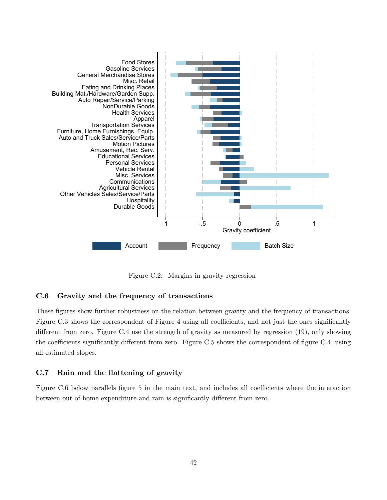

<span id="page-42-0"></span>Figure C.2: Margins in gravity regression

## C.6 Gravity and the frequency of transactions

These figures show further robustness on the relation between gravity and the frequency of transactions. Figure [C.3](#page-43-0) shows the correspondent of Figure [4](#page-20-0) using all coefficients, and not just the ones significantly different from zero. Figure [C.4](#page-43-1) use the strength of gravity as measured by regression  $(19)$ , only showing the coefficients significantly different from zero. Figure [C.5](#page-44-0) shows the correspondent of figure [C.4,](#page-43-1) using all estimated slopes.

### C.7 Rain and the flattening of gravity

Figure [C.6](#page-44-1) below parallels figure [5](#page-23-0) in the main text, and includes all coefficients where the interaction between out-of-home expenditure and rain is significantly different from zero.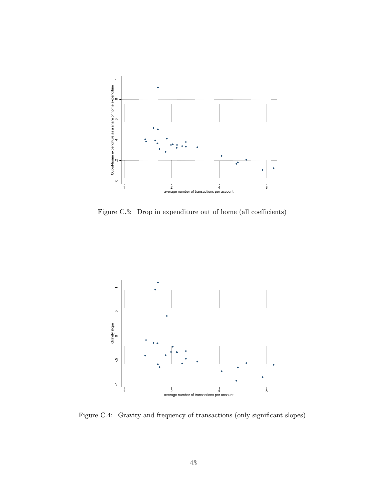

<span id="page-43-0"></span>Figure C.3: Drop in expenditure out of home (all coefficients)



<span id="page-43-1"></span>Figure C.4: Gravity and frequency of transactions (only significant slopes)